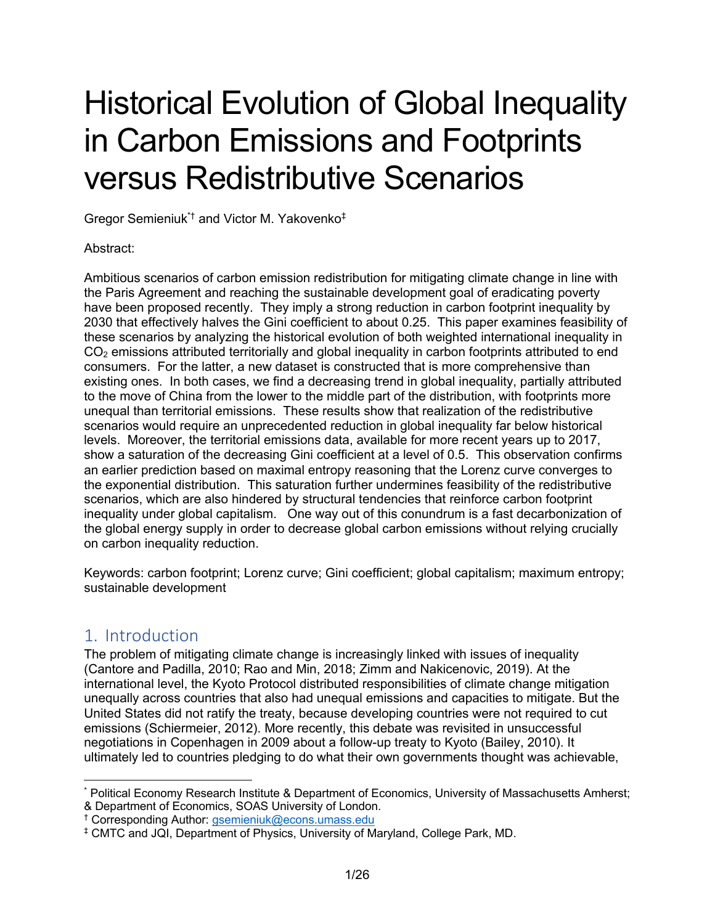# Historical Evolution of Global Inequality in Carbon Emissions and Footprints versus Redistributive Scenarios

Gregor Semieniuk\*† and Victor M. Yakovenko‡

#### Abstract:

Ambitious scenarios of carbon emission redistribution for mitigating climate change in line with the Paris Agreement and reaching the sustainable development goal of eradicating poverty have been proposed recently. They imply a strong reduction in carbon footprint inequality by 2030 that effectively halves the Gini coefficient to about 0.25. This paper examines feasibility of these scenarios by analyzing the historical evolution of both weighted international inequality in CO<sub>2</sub> emissions attributed territorially and global inequality in carbon footprints attributed to end consumers. For the latter, a new dataset is constructed that is more comprehensive than existing ones. In both cases, we find a decreasing trend in global inequality, partially attributed to the move of China from the lower to the middle part of the distribution, with footprints more unequal than territorial emissions. These results show that realization of the redistributive scenarios would require an unprecedented reduction in global inequality far below historical levels. Moreover, the territorial emissions data, available for more recent years up to 2017, show a saturation of the decreasing Gini coefficient at a level of 0.5. This observation confirms an earlier prediction based on maximal entropy reasoning that the Lorenz curve converges to the exponential distribution. This saturation further undermines feasibility of the redistributive scenarios, which are also hindered by structural tendencies that reinforce carbon footprint inequality under global capitalism. One way out of this conundrum is a fast decarbonization of the global energy supply in order to decrease global carbon emissions without relying crucially on carbon inequality reduction.

Keywords: carbon footprint; Lorenz curve; Gini coefficient; global capitalism; maximum entropy; sustainable development

### 1. Introduction

The problem of mitigating climate change is increasingly linked with issues of inequality (Cantore and Padilla, 2010; Rao and Min, 2018; Zimm and Nakicenovic, 2019). At the international level, the Kyoto Protocol distributed responsibilities of climate change mitigation unequally across countries that also had unequal emissions and capacities to mitigate. But the United States did not ratify the treaty, because developing countries were not required to cut emissions (Schiermeier, 2012). More recently, this debate was revisited in unsuccessful negotiations in Copenhagen in 2009 about a follow-up treaty to Kyoto (Bailey, 2010). It ultimately led to countries pledging to do what their own governments thought was achievable,

<sup>\*</sup> Political Economy Research Institute & Department of Economics, University of Massachusetts Amherst; & Department of Economics, SOAS University of London.

<sup>†</sup> Corresponding Author: gsemieniuk@econs.umass.edu

<sup>‡</sup> CMTC and JQI, Department of Physics, University of Maryland, College Park, MD.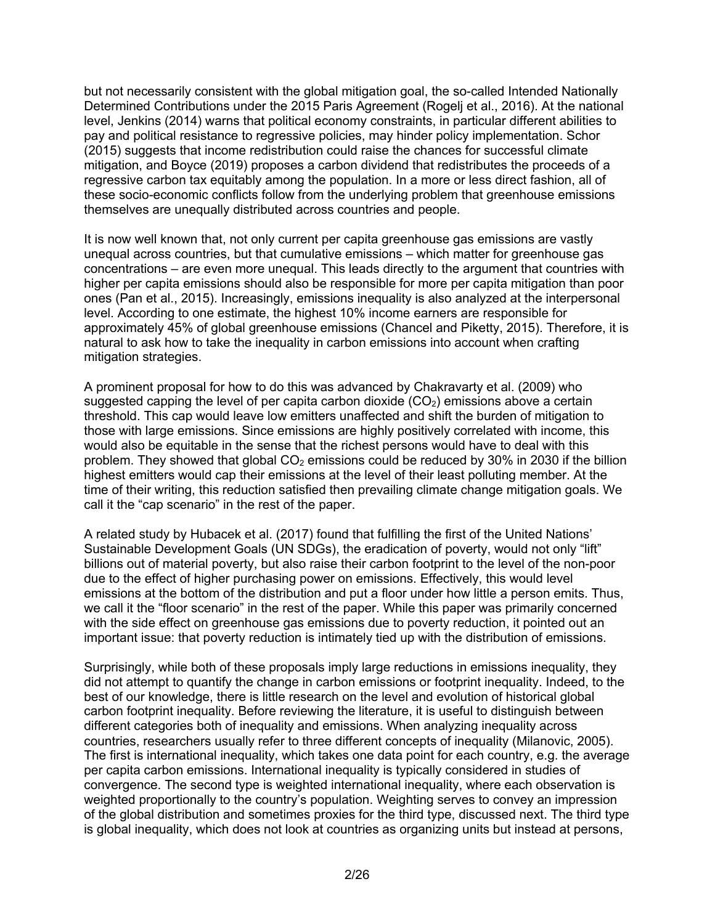but not necessarily consistent with the global mitigation goal, the so-called Intended Nationally Determined Contributions under the 2015 Paris Agreement (Rogelj et al., 2016). At the national level, Jenkins (2014) warns that political economy constraints, in particular different abilities to pay and political resistance to regressive policies, may hinder policy implementation. Schor (2015) suggests that income redistribution could raise the chances for successful climate mitigation, and Boyce (2019) proposes a carbon dividend that redistributes the proceeds of a regressive carbon tax equitably among the population. In a more or less direct fashion, all of these socio-economic conflicts follow from the underlying problem that greenhouse emissions themselves are unequally distributed across countries and people.

It is now well known that, not only current per capita greenhouse gas emissions are vastly unequal across countries, but that cumulative emissions – which matter for greenhouse gas concentrations – are even more unequal. This leads directly to the argument that countries with higher per capita emissions should also be responsible for more per capita mitigation than poor ones (Pan et al., 2015). Increasingly, emissions inequality is also analyzed at the interpersonal level. According to one estimate, the highest 10% income earners are responsible for approximately 45% of global greenhouse emissions (Chancel and Piketty, 2015). Therefore, it is natural to ask how to take the inequality in carbon emissions into account when crafting mitigation strategies.

A prominent proposal for how to do this was advanced by Chakravarty et al. (2009) who suggested capping the level of per capita carbon dioxide  $(CO<sub>2</sub>)$  emissions above a certain threshold. This cap would leave low emitters unaffected and shift the burden of mitigation to those with large emissions. Since emissions are highly positively correlated with income, this would also be equitable in the sense that the richest persons would have to deal with this problem. They showed that global  $CO<sub>2</sub>$  emissions could be reduced by 30% in 2030 if the billion highest emitters would cap their emissions at the level of their least polluting member. At the time of their writing, this reduction satisfied then prevailing climate change mitigation goals. We call it the "cap scenario" in the rest of the paper.

A related study by Hubacek et al. (2017) found that fulfilling the first of the United Nations' Sustainable Development Goals (UN SDGs), the eradication of poverty, would not only "lift" billions out of material poverty, but also raise their carbon footprint to the level of the non-poor due to the effect of higher purchasing power on emissions. Effectively, this would level emissions at the bottom of the distribution and put a floor under how little a person emits. Thus, we call it the "floor scenario" in the rest of the paper. While this paper was primarily concerned with the side effect on greenhouse gas emissions due to poverty reduction, it pointed out an important issue: that poverty reduction is intimately tied up with the distribution of emissions.

Surprisingly, while both of these proposals imply large reductions in emissions inequality, they did not attempt to quantify the change in carbon emissions or footprint inequality. Indeed, to the best of our knowledge, there is little research on the level and evolution of historical global carbon footprint inequality. Before reviewing the literature, it is useful to distinguish between different categories both of inequality and emissions. When analyzing inequality across countries, researchers usually refer to three different concepts of inequality (Milanovic, 2005). The first is international inequality, which takes one data point for each country, e.g. the average per capita carbon emissions. International inequality is typically considered in studies of convergence. The second type is weighted international inequality, where each observation is weighted proportionally to the country's population. Weighting serves to convey an impression of the global distribution and sometimes proxies for the third type, discussed next. The third type is global inequality, which does not look at countries as organizing units but instead at persons,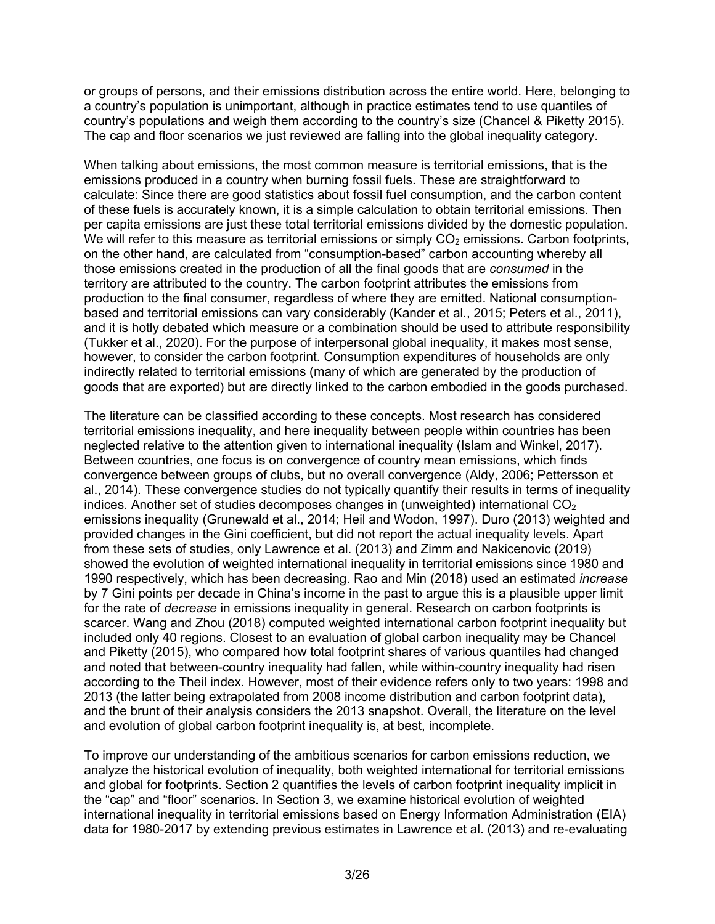or groups of persons, and their emissions distribution across the entire world. Here, belonging to a country's population is unimportant, although in practice estimates tend to use quantiles of country's populations and weigh them according to the country's size (Chancel & Piketty 2015). The cap and floor scenarios we just reviewed are falling into the global inequality category.

When talking about emissions, the most common measure is territorial emissions, that is the emissions produced in a country when burning fossil fuels. These are straightforward to calculate: Since there are good statistics about fossil fuel consumption, and the carbon content of these fuels is accurately known, it is a simple calculation to obtain territorial emissions. Then per capita emissions are just these total territorial emissions divided by the domestic population. We will refer to this measure as territorial emissions or simply  $CO<sub>2</sub>$  emissions. Carbon footprints, on the other hand, are calculated from "consumption-based" carbon accounting whereby all those emissions created in the production of all the final goods that are *consumed* in the territory are attributed to the country. The carbon footprint attributes the emissions from production to the final consumer, regardless of where they are emitted. National consumptionbased and territorial emissions can vary considerably (Kander et al., 2015; Peters et al., 2011), and it is hotly debated which measure or a combination should be used to attribute responsibility (Tukker et al., 2020). For the purpose of interpersonal global inequality, it makes most sense, however, to consider the carbon footprint. Consumption expenditures of households are only indirectly related to territorial emissions (many of which are generated by the production of goods that are exported) but are directly linked to the carbon embodied in the goods purchased.

The literature can be classified according to these concepts. Most research has considered territorial emissions inequality, and here inequality between people within countries has been neglected relative to the attention given to international inequality (Islam and Winkel, 2017). Between countries, one focus is on convergence of country mean emissions, which finds convergence between groups of clubs, but no overall convergence (Aldy, 2006; Pettersson et al., 2014). These convergence studies do not typically quantify their results in terms of inequality indices. Another set of studies decomposes changes in (unweighted) international  $CO<sub>2</sub>$ emissions inequality (Grunewald et al., 2014; Heil and Wodon, 1997). Duro (2013) weighted and provided changes in the Gini coefficient, but did not report the actual inequality levels. Apart from these sets of studies, only Lawrence et al. (2013) and Zimm and Nakicenovic (2019) showed the evolution of weighted international inequality in territorial emissions since 1980 and 1990 respectively, which has been decreasing. Rao and Min (2018) used an estimated *increase* by 7 Gini points per decade in China's income in the past to argue this is a plausible upper limit for the rate of *decrease* in emissions inequality in general. Research on carbon footprints is scarcer. Wang and Zhou (2018) computed weighted international carbon footprint inequality but included only 40 regions. Closest to an evaluation of global carbon inequality may be Chancel and Piketty (2015), who compared how total footprint shares of various quantiles had changed and noted that between-country inequality had fallen, while within-country inequality had risen according to the Theil index. However, most of their evidence refers only to two years: 1998 and 2013 (the latter being extrapolated from 2008 income distribution and carbon footprint data), and the brunt of their analysis considers the 2013 snapshot. Overall, the literature on the level and evolution of global carbon footprint inequality is, at best, incomplete.

To improve our understanding of the ambitious scenarios for carbon emissions reduction, we analyze the historical evolution of inequality, both weighted international for territorial emissions and global for footprints. Section 2 quantifies the levels of carbon footprint inequality implicit in the "cap" and "floor" scenarios. In Section 3, we examine historical evolution of weighted international inequality in territorial emissions based on Energy Information Administration (EIA) data for 1980-2017 by extending previous estimates in Lawrence et al. (2013) and re-evaluating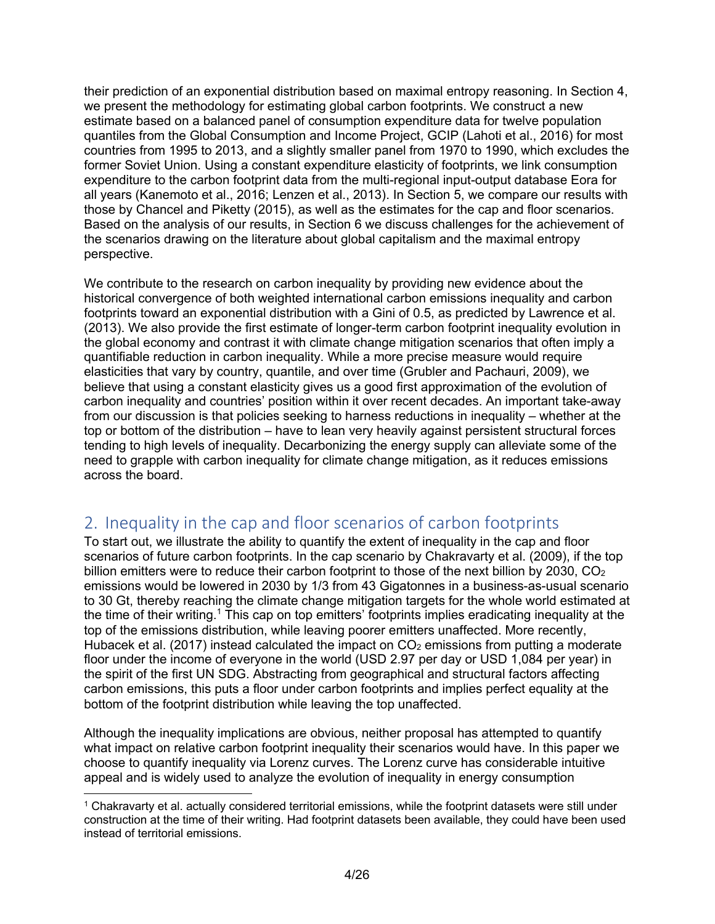their prediction of an exponential distribution based on maximal entropy reasoning. In Section 4, we present the methodology for estimating global carbon footprints. We construct a new estimate based on a balanced panel of consumption expenditure data for twelve population quantiles from the Global Consumption and Income Project, GCIP (Lahoti et al., 2016) for most countries from 1995 to 2013, and a slightly smaller panel from 1970 to 1990, which excludes the former Soviet Union. Using a constant expenditure elasticity of footprints, we link consumption expenditure to the carbon footprint data from the multi-regional input-output database Eora for all years (Kanemoto et al., 2016; Lenzen et al., 2013). In Section 5, we compare our results with those by Chancel and Piketty (2015), as well as the estimates for the cap and floor scenarios. Based on the analysis of our results, in Section 6 we discuss challenges for the achievement of the scenarios drawing on the literature about global capitalism and the maximal entropy perspective.

We contribute to the research on carbon inequality by providing new evidence about the historical convergence of both weighted international carbon emissions inequality and carbon footprints toward an exponential distribution with a Gini of 0.5, as predicted by Lawrence et al. (2013). We also provide the first estimate of longer-term carbon footprint inequality evolution in the global economy and contrast it with climate change mitigation scenarios that often imply a quantifiable reduction in carbon inequality. While a more precise measure would require elasticities that vary by country, quantile, and over time (Grubler and Pachauri, 2009), we believe that using a constant elasticity gives us a good first approximation of the evolution of carbon inequality and countries' position within it over recent decades. An important take-away from our discussion is that policies seeking to harness reductions in inequality – whether at the top or bottom of the distribution – have to lean very heavily against persistent structural forces tending to high levels of inequality. Decarbonizing the energy supply can alleviate some of the need to grapple with carbon inequality for climate change mitigation, as it reduces emissions across the board.

## 2. Inequality in the cap and floor scenarios of carbon footprints

To start out, we illustrate the ability to quantify the extent of inequality in the cap and floor scenarios of future carbon footprints. In the cap scenario by Chakravarty et al. (2009), if the top billion emitters were to reduce their carbon footprint to those of the next billion by 2030,  $CO<sub>2</sub>$ emissions would be lowered in 2030 by 1/3 from 43 Gigatonnes in a business-as-usual scenario to 30 Gt, thereby reaching the climate change mitigation targets for the whole world estimated at the time of their writing.<sup>1</sup> This cap on top emitters' footprints implies eradicating inequality at the top of the emissions distribution, while leaving poorer emitters unaffected. More recently, Hubacek et al. (2017) instead calculated the impact on  $CO<sub>2</sub>$  emissions from putting a moderate floor under the income of everyone in the world (USD 2.97 per day or USD 1,084 per year) in the spirit of the first UN SDG. Abstracting from geographical and structural factors affecting carbon emissions, this puts a floor under carbon footprints and implies perfect equality at the bottom of the footprint distribution while leaving the top unaffected.

Although the inequality implications are obvious, neither proposal has attempted to quantify what impact on relative carbon footprint inequality their scenarios would have. In this paper we choose to quantify inequality via Lorenz curves. The Lorenz curve has considerable intuitive appeal and is widely used to analyze the evolution of inequality in energy consumption

 $1$  Chakravarty et al. actually considered territorial emissions, while the footprint datasets were still under construction at the time of their writing. Had footprint datasets been available, they could have been used instead of territorial emissions.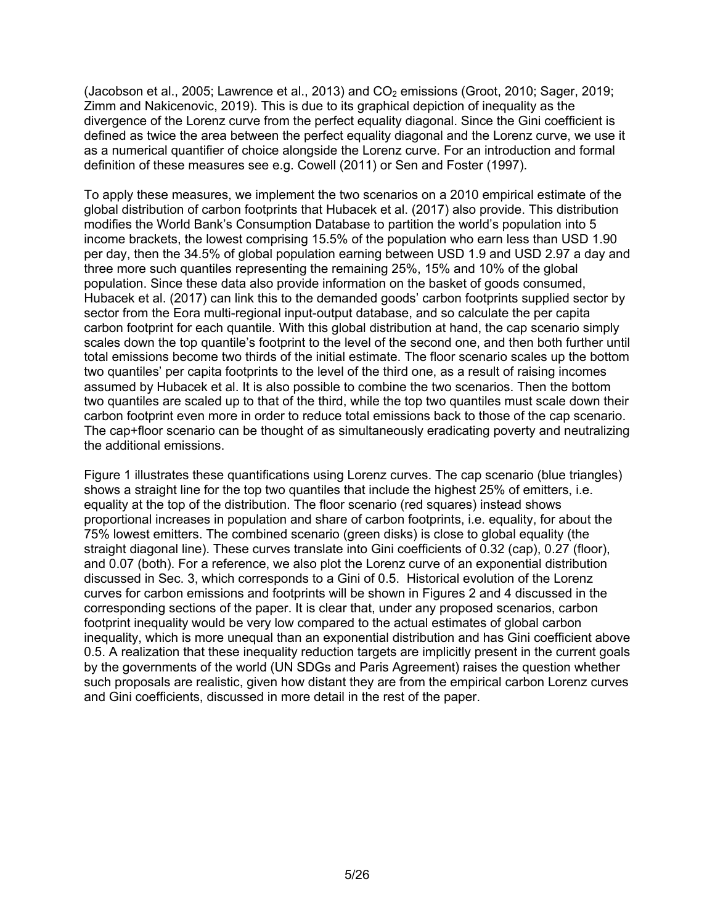(Jacobson et al., 2005; Lawrence et al., 2013) and  $CO<sub>2</sub>$  emissions (Groot, 2010; Sager, 2019; Zimm and Nakicenovic, 2019). This is due to its graphical depiction of inequality as the divergence of the Lorenz curve from the perfect equality diagonal. Since the Gini coefficient is defined as twice the area between the perfect equality diagonal and the Lorenz curve, we use it as a numerical quantifier of choice alongside the Lorenz curve. For an introduction and formal definition of these measures see e.g. Cowell (2011) or Sen and Foster (1997).

To apply these measures, we implement the two scenarios on a 2010 empirical estimate of the global distribution of carbon footprints that Hubacek et al. (2017) also provide. This distribution modifies the World Bank's Consumption Database to partition the world's population into 5 income brackets, the lowest comprising 15.5% of the population who earn less than USD 1.90 per day, then the 34.5% of global population earning between USD 1.9 and USD 2.97 a day and three more such quantiles representing the remaining 25%, 15% and 10% of the global population. Since these data also provide information on the basket of goods consumed, Hubacek et al. (2017) can link this to the demanded goods' carbon footprints supplied sector by sector from the Eora multi-regional input-output database, and so calculate the per capita carbon footprint for each quantile. With this global distribution at hand, the cap scenario simply scales down the top quantile's footprint to the level of the second one, and then both further until total emissions become two thirds of the initial estimate. The floor scenario scales up the bottom two quantiles' per capita footprints to the level of the third one, as a result of raising incomes assumed by Hubacek et al. It is also possible to combine the two scenarios. Then the bottom two quantiles are scaled up to that of the third, while the top two quantiles must scale down their carbon footprint even more in order to reduce total emissions back to those of the cap scenario. The cap+floor scenario can be thought of as simultaneously eradicating poverty and neutralizing the additional emissions.

Figure 1 illustrates these quantifications using Lorenz curves. The cap scenario (blue triangles) shows a straight line for the top two quantiles that include the highest 25% of emitters, i.e. equality at the top of the distribution. The floor scenario (red squares) instead shows proportional increases in population and share of carbon footprints, i.e. equality, for about the 75% lowest emitters. The combined scenario (green disks) is close to global equality (the straight diagonal line). These curves translate into Gini coefficients of 0.32 (cap), 0.27 (floor), and 0.07 (both). For a reference, we also plot the Lorenz curve of an exponential distribution discussed in Sec. 3, which corresponds to a Gini of 0.5. Historical evolution of the Lorenz curves for carbon emissions and footprints will be shown in Figures 2 and 4 discussed in the corresponding sections of the paper. It is clear that, under any proposed scenarios, carbon footprint inequality would be very low compared to the actual estimates of global carbon inequality, which is more unequal than an exponential distribution and has Gini coefficient above 0.5. A realization that these inequality reduction targets are implicitly present in the current goals by the governments of the world (UN SDGs and Paris Agreement) raises the question whether such proposals are realistic, given how distant they are from the empirical carbon Lorenz curves and Gini coefficients, discussed in more detail in the rest of the paper.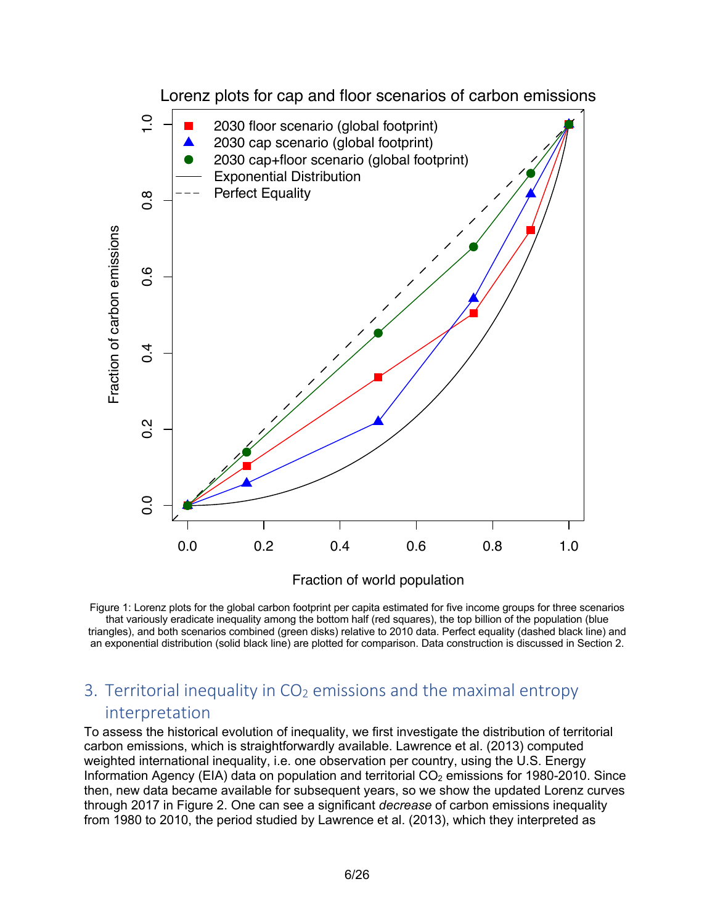

Fraction of world population

Figure 1: Lorenz plots for the global carbon footprint per capita estimated for five income groups for three scenarios that variously eradicate inequality among the bottom half (red squares), the top billion of the population (blue triangles), and both scenarios combined (green disks) relative to 2010 data. Perfect equality (dashed black line) and an exponential distribution (solid black line) are plotted for comparison. Data construction is discussed in Section 2.

## 3. Territorial inequality in  $CO<sub>2</sub>$  emissions and the maximal entropy interpretation

To assess the historical evolution of inequality, we first investigate the distribution of territorial carbon emissions, which is straightforwardly available. Lawrence et al. (2013) computed weighted international inequality, i.e. one observation per country, using the U.S. Energy Information Agency (EIA) data on population and territorial  $CO<sub>2</sub>$  emissions for 1980-2010. Since then, new data became available for subsequent years, so we show the updated Lorenz curves through 2017 in Figure 2. One can see a significant *decrease* of carbon emissions inequality from 1980 to 2010, the period studied by Lawrence et al. (2013), which they interpreted as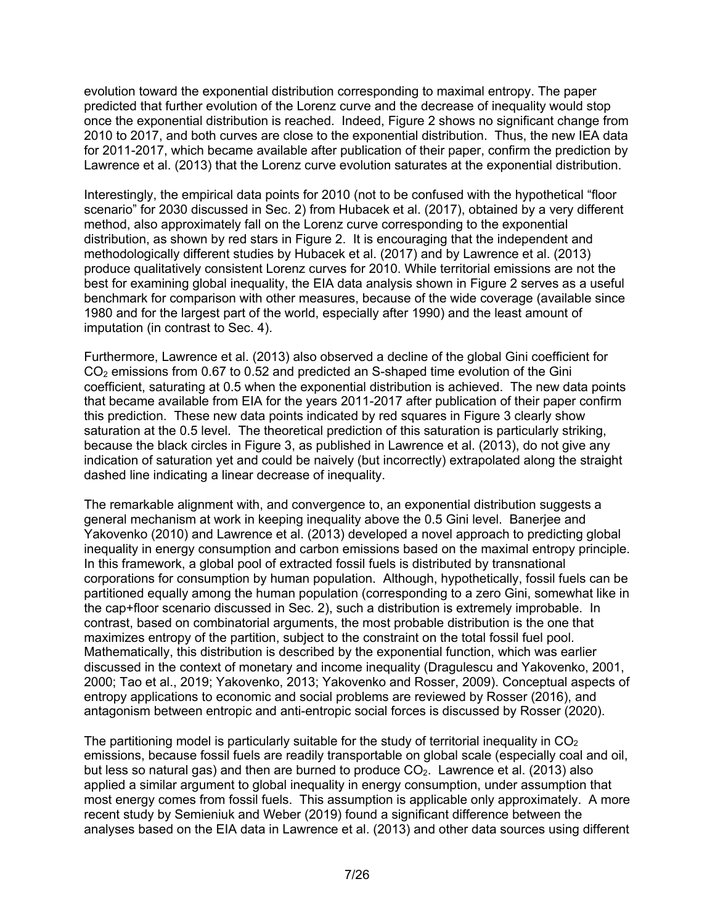evolution toward the exponential distribution corresponding to maximal entropy. The paper predicted that further evolution of the Lorenz curve and the decrease of inequality would stop once the exponential distribution is reached. Indeed, Figure 2 shows no significant change from 2010 to 2017, and both curves are close to the exponential distribution. Thus, the new IEA data for 2011-2017, which became available after publication of their paper, confirm the prediction by Lawrence et al. (2013) that the Lorenz curve evolution saturates at the exponential distribution.

Interestingly, the empirical data points for 2010 (not to be confused with the hypothetical "floor scenario" for 2030 discussed in Sec. 2) from Hubacek et al. (2017), obtained by a very different method, also approximately fall on the Lorenz curve corresponding to the exponential distribution, as shown by red stars in Figure 2. It is encouraging that the independent and methodologically different studies by Hubacek et al. (2017) and by Lawrence et al. (2013) produce qualitatively consistent Lorenz curves for 2010. While territorial emissions are not the best for examining global inequality, the EIA data analysis shown in Figure 2 serves as a useful benchmark for comparison with other measures, because of the wide coverage (available since 1980 and for the largest part of the world, especially after 1990) and the least amount of imputation (in contrast to Sec. 4).

Furthermore, Lawrence et al. (2013) also observed a decline of the global Gini coefficient for  $CO<sub>2</sub>$  emissions from 0.67 to 0.52 and predicted an S-shaped time evolution of the Gini coefficient, saturating at 0.5 when the exponential distribution is achieved. The new data points that became available from EIA for the years 2011-2017 after publication of their paper confirm this prediction. These new data points indicated by red squares in Figure 3 clearly show saturation at the 0.5 level. The theoretical prediction of this saturation is particularly striking, because the black circles in Figure 3, as published in Lawrence et al. (2013), do not give any indication of saturation yet and could be naively (but incorrectly) extrapolated along the straight dashed line indicating a linear decrease of inequality.

The remarkable alignment with, and convergence to, an exponential distribution suggests a general mechanism at work in keeping inequality above the 0.5 Gini level. Banerjee and Yakovenko (2010) and Lawrence et al. (2013) developed a novel approach to predicting global inequality in energy consumption and carbon emissions based on the maximal entropy principle. In this framework, a global pool of extracted fossil fuels is distributed by transnational corporations for consumption by human population. Although, hypothetically, fossil fuels can be partitioned equally among the human population (corresponding to a zero Gini, somewhat like in the cap+floor scenario discussed in Sec. 2), such a distribution is extremely improbable. In contrast, based on combinatorial arguments, the most probable distribution is the one that maximizes entropy of the partition, subject to the constraint on the total fossil fuel pool. Mathematically, this distribution is described by the exponential function, which was earlier discussed in the context of monetary and income inequality (Dragulescu and Yakovenko, 2001, 2000; Tao et al., 2019; Yakovenko, 2013; Yakovenko and Rosser, 2009). Conceptual aspects of entropy applications to economic and social problems are reviewed by Rosser (2016), and antagonism between entropic and anti-entropic social forces is discussed by Rosser (2020).

The partitioning model is particularly suitable for the study of territorial inequality in  $CO<sub>2</sub>$ emissions, because fossil fuels are readily transportable on global scale (especially coal and oil, but less so natural gas) and then are burned to produce  $CO<sub>2</sub>$ . Lawrence et al. (2013) also applied a similar argument to global inequality in energy consumption, under assumption that most energy comes from fossil fuels. This assumption is applicable only approximately. A more recent study by Semieniuk and Weber (2019) found a significant difference between the analyses based on the EIA data in Lawrence et al. (2013) and other data sources using different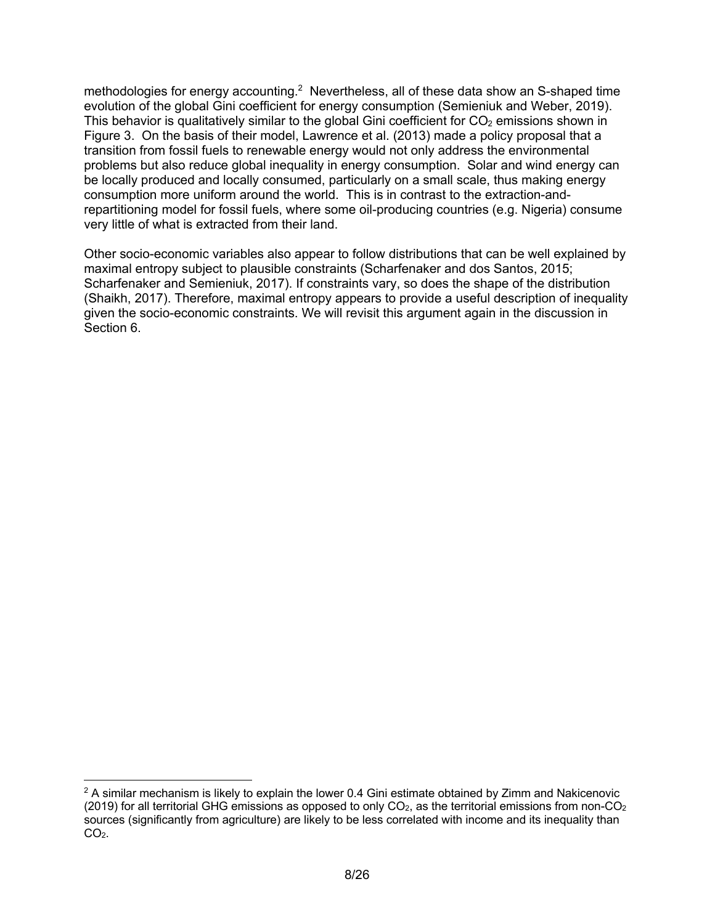methodologies for energy accounting.<sup>2</sup> Nevertheless, all of these data show an S-shaped time evolution of the global Gini coefficient for energy consumption (Semieniuk and Weber, 2019). This behavior is qualitatively similar to the global Gini coefficient for  $CO<sub>2</sub>$  emissions shown in Figure 3. On the basis of their model, Lawrence et al. (2013) made a policy proposal that a transition from fossil fuels to renewable energy would not only address the environmental problems but also reduce global inequality in energy consumption. Solar and wind energy can be locally produced and locally consumed, particularly on a small scale, thus making energy consumption more uniform around the world. This is in contrast to the extraction-andrepartitioning model for fossil fuels, where some oil-producing countries (e.g. Nigeria) consume very little of what is extracted from their land.

Other socio-economic variables also appear to follow distributions that can be well explained by maximal entropy subject to plausible constraints (Scharfenaker and dos Santos, 2015; Scharfenaker and Semieniuk, 2017). If constraints vary, so does the shape of the distribution (Shaikh, 2017). Therefore, maximal entropy appears to provide a useful description of inequality given the socio-economic constraints. We will revisit this argument again in the discussion in Section 6.

 $2$  A similar mechanism is likely to explain the lower 0.4 Gini estimate obtained by Zimm and Nakicenovic (2019) for all territorial GHG emissions as opposed to only  $CO<sub>2</sub>$ , as the territorial emissions from non- $CO<sub>2</sub>$ sources (significantly from agriculture) are likely to be less correlated with income and its inequality than  $CO<sub>2</sub>$ .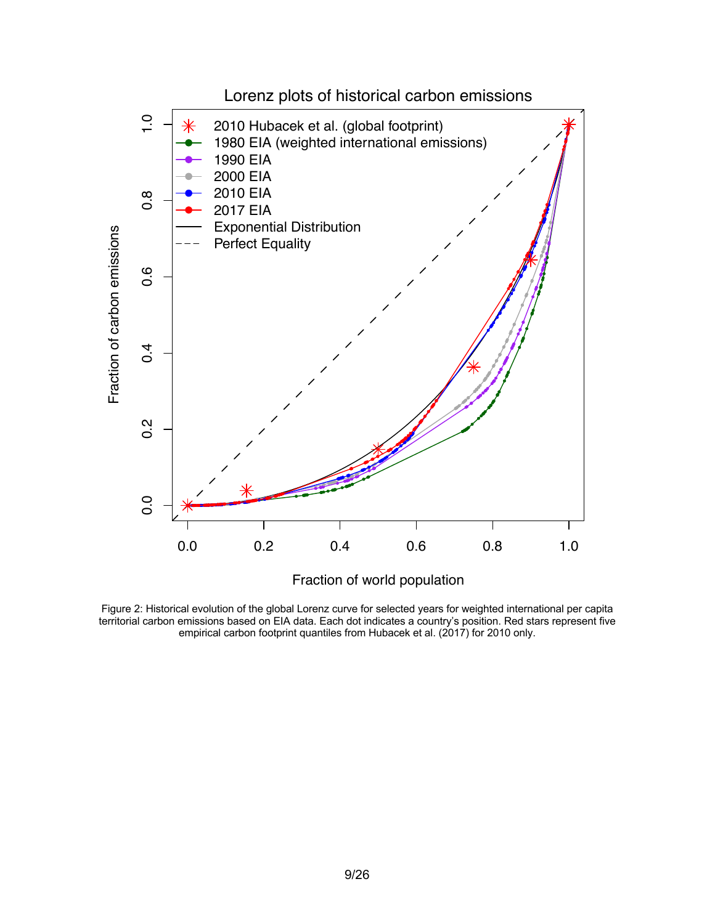

Fraction of world population

Figure 2: Historical evolution of the global Lorenz curve for selected years for weighted international per capita territorial carbon emissions based on EIA data. Each dot indicates a country's position. Red stars represent five empirical carbon footprint quantiles from Hubacek et al. (2017) for 2010 only.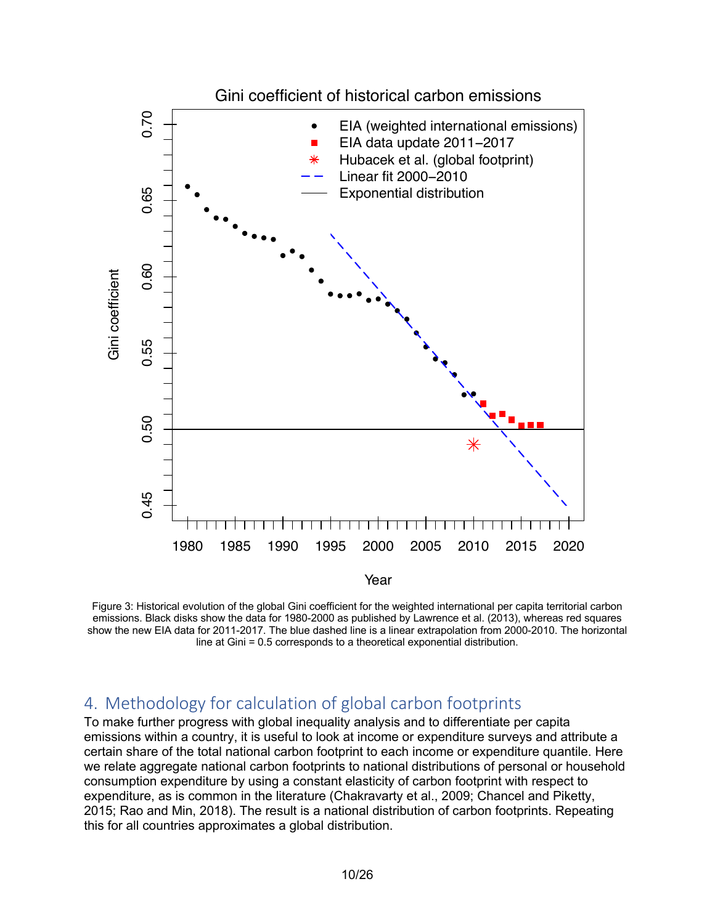

Figure 3: Historical evolution of the global Gini coefficient for the weighted international per capita territorial carbon emissions. Black disks show the data for 1980-2000 as published by Lawrence et al. (2013), whereas red squares show the new EIA data for 2011-2017. The blue dashed line is a linear extrapolation from 2000-2010. The horizontal line at Gini = 0.5 corresponds to a theoretical exponential distribution.

## 4. Methodology for calculation of global carbon footprints

To make further progress with global inequality analysis and to differentiate per capita emissions within a country, it is useful to look at income or expenditure surveys and attribute a certain share of the total national carbon footprint to each income or expenditure quantile. Here we relate aggregate national carbon footprints to national distributions of personal or household consumption expenditure by using a constant elasticity of carbon footprint with respect to expenditure, as is common in the literature (Chakravarty et al., 2009; Chancel and Piketty, 2015; Rao and Min, 2018). The result is a national distribution of carbon footprints. Repeating this for all countries approximates a global distribution.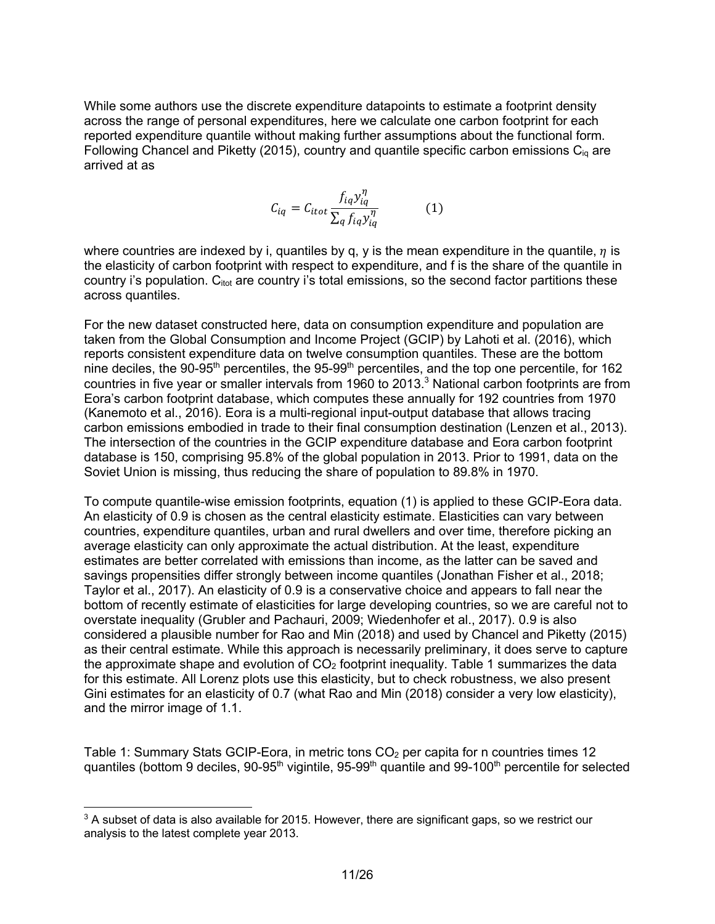While some authors use the discrete expenditure datapoints to estimate a footprint density across the range of personal expenditures, here we calculate one carbon footprint for each reported expenditure quantile without making further assumptions about the functional form. Following Chancel and Piketty (2015), country and quantile specific carbon emissions  $C_{iq}$  are arrived at as

$$
C_{iq} = C_{itot} \frac{f_{iq} y_{iq}^{\eta}}{\sum_{q} f_{iq} y_{iq}^{\eta}}
$$
 (1)

where countries are indexed by i, quantiles by q, y is the mean expenditure in the quantile,  $\eta$  is the elasticity of carbon footprint with respect to expenditure, and f is the share of the quantile in country i's population. C<sub>itot</sub> are country i's total emissions, so the second factor partitions these across quantiles.

For the new dataset constructed here, data on consumption expenditure and population are taken from the Global Consumption and Income Project (GCIP) by Lahoti et al. (2016), which reports consistent expenditure data on twelve consumption quantiles. These are the bottom nine deciles, the 90-95<sup>th</sup> percentiles, the 95-99<sup>th</sup> percentiles, and the top one percentile, for 162 countries in five year or smaller intervals from 1960 to 2013. <sup>3</sup> National carbon footprints are from Eora's carbon footprint database, which computes these annually for 192 countries from 1970 (Kanemoto et al., 2016). Eora is a multi-regional input-output database that allows tracing carbon emissions embodied in trade to their final consumption destination (Lenzen et al., 2013). The intersection of the countries in the GCIP expenditure database and Eora carbon footprint database is 150, comprising 95.8% of the global population in 2013. Prior to 1991, data on the Soviet Union is missing, thus reducing the share of population to 89.8% in 1970.

To compute quantile-wise emission footprints, equation (1) is applied to these GCIP-Eora data. An elasticity of 0.9 is chosen as the central elasticity estimate. Elasticities can vary between countries, expenditure quantiles, urban and rural dwellers and over time, therefore picking an average elasticity can only approximate the actual distribution. At the least, expenditure estimates are better correlated with emissions than income, as the latter can be saved and savings propensities differ strongly between income quantiles (Jonathan Fisher et al., 2018; Taylor et al., 2017). An elasticity of 0.9 is a conservative choice and appears to fall near the bottom of recently estimate of elasticities for large developing countries, so we are careful not to overstate inequality (Grubler and Pachauri, 2009; Wiedenhofer et al., 2017). 0.9 is also considered a plausible number for Rao and Min (2018) and used by Chancel and Piketty (2015) as their central estimate. While this approach is necessarily preliminary, it does serve to capture the approximate shape and evolution of  $CO<sub>2</sub>$  footprint inequality. Table 1 summarizes the data for this estimate. All Lorenz plots use this elasticity, but to check robustness, we also present Gini estimates for an elasticity of 0.7 (what Rao and Min (2018) consider a very low elasticity), and the mirror image of 1.1.

Table 1: Summary Stats GCIP-Eora, in metric tons  $CO<sub>2</sub>$  per capita for n countries times 12 quantiles (bottom 9 deciles, 90-95<sup>th</sup> vigintile, 95-99<sup>th</sup> quantile and 99-100<sup>th</sup> percentile for selected

 $3$  A subset of data is also available for 2015. However, there are significant gaps, so we restrict our analysis to the latest complete year 2013.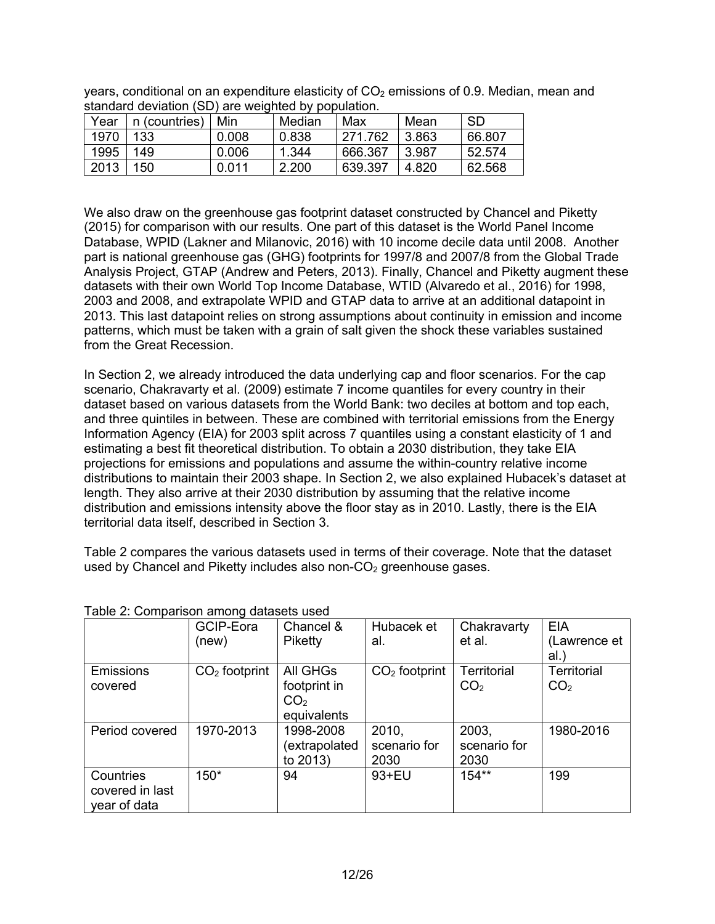| $\sigma$ started to deviation (SD) are weighted by population. |               |       |        |         |       |           |  |
|----------------------------------------------------------------|---------------|-------|--------|---------|-------|-----------|--|
| Year                                                           | n (countries) | Min   | Median | Max     | Mean  | <b>SD</b> |  |
| 1970                                                           | 133           | 0.008 | 0.838  | 271.762 | 3.863 | 66.807    |  |
| 1995                                                           | 149           | 0.006 | 1.344  | 666.367 | 3.987 | 52.574    |  |
| 2013                                                           | 150           | 0.011 | 2.200  | 639.397 | 4.820 | 62.568    |  |

years, conditional on an expenditure elasticity of  $CO<sub>2</sub>$  emissions of 0.9. Median, mean and standard deviation (SD) are weighted by population.

We also draw on the greenhouse gas footprint dataset constructed by Chancel and Piketty (2015) for comparison with our results. One part of this dataset is the World Panel Income Database, WPID (Lakner and Milanovic, 2016) with 10 income decile data until 2008. Another part is national greenhouse gas (GHG) footprints for 1997/8 and 2007/8 from the Global Trade Analysis Project, GTAP (Andrew and Peters, 2013). Finally, Chancel and Piketty augment these datasets with their own World Top Income Database, WTID (Alvaredo et al., 2016) for 1998, 2003 and 2008, and extrapolate WPID and GTAP data to arrive at an additional datapoint in 2013. This last datapoint relies on strong assumptions about continuity in emission and income patterns, which must be taken with a grain of salt given the shock these variables sustained from the Great Recession.

In Section 2, we already introduced the data underlying cap and floor scenarios. For the cap scenario, Chakravarty et al. (2009) estimate 7 income quantiles for every country in their dataset based on various datasets from the World Bank: two deciles at bottom and top each, and three quintiles in between. These are combined with territorial emissions from the Energy Information Agency (EIA) for 2003 split across 7 quantiles using a constant elasticity of 1 and estimating a best fit theoretical distribution. To obtain a 2030 distribution, they take EIA projections for emissions and populations and assume the within-country relative income distributions to maintain their 2003 shape. In Section 2, we also explained Hubacek's dataset at length. They also arrive at their 2030 distribution by assuming that the relative income distribution and emissions intensity above the floor stay as in 2010. Lastly, there is the EIA territorial data itself, described in Section 3.

Table 2 compares the various datasets used in terms of their coverage. Note that the dataset used by Chancel and Piketty includes also non- $CO<sub>2</sub>$  greenhouse gases.

|                 | GCIP-Eora       | Chancel &       | Hubacek et      | Chakravarty     | <b>EIA</b>      |
|-----------------|-----------------|-----------------|-----------------|-----------------|-----------------|
|                 | (new)           | Piketty         | al.             | et al.          | (Lawrence et    |
|                 |                 |                 |                 |                 | al.             |
| Emissions       | $CO2$ footprint | All GHGs        | $CO2$ footprint | Territorial     | Territorial     |
| covered         |                 | footprint in    |                 | CO <sub>2</sub> | CO <sub>2</sub> |
|                 |                 | CO <sub>2</sub> |                 |                 |                 |
|                 |                 | equivalents     |                 |                 |                 |
| Period covered  | 1970-2013       | 1998-2008       | 2010,           | 2003,           | 1980-2016       |
|                 |                 | (extrapolated   | scenario for    | scenario for    |                 |
|                 |                 | to 2013)        | 2030            | 2030            |                 |
| Countries       | $150*$          | 94              | 93+EU           | $154**$         | 199             |
| covered in last |                 |                 |                 |                 |                 |
| year of data    |                 |                 |                 |                 |                 |

#### Table 2: Comparison among datasets used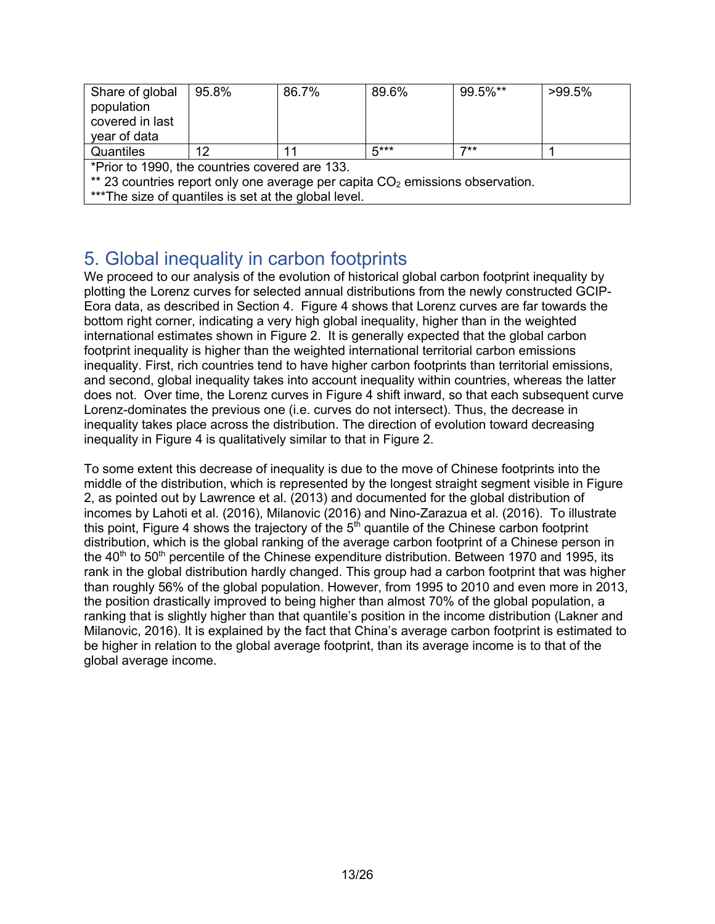| Share of global<br>population<br>covered in last<br>year of data                          | 95.8% | 86.7% | 89.6%       | 99.5%** | >99.5% |  |  |
|-------------------------------------------------------------------------------------------|-------|-------|-------------|---------|--------|--|--|
| Quantiles                                                                                 | 12    |       | <b>Д***</b> | $7**$   |        |  |  |
| *Prior to 1990, the countries covered are 133.                                            |       |       |             |         |        |  |  |
| ** 23 countries report only one average per capita CO <sub>2</sub> emissions observation. |       |       |             |         |        |  |  |
| ***The size of quantiles is set at the global level.                                      |       |       |             |         |        |  |  |

## 5. Global inequality in carbon footprints

We proceed to our analysis of the evolution of historical global carbon footprint inequality by plotting the Lorenz curves for selected annual distributions from the newly constructed GCIP-Eora data, as described in Section 4. Figure 4 shows that Lorenz curves are far towards the bottom right corner, indicating a very high global inequality, higher than in the weighted international estimates shown in Figure 2. It is generally expected that the global carbon footprint inequality is higher than the weighted international territorial carbon emissions inequality. First, rich countries tend to have higher carbon footprints than territorial emissions, and second, global inequality takes into account inequality within countries, whereas the latter does not. Over time, the Lorenz curves in Figure 4 shift inward, so that each subsequent curve Lorenz-dominates the previous one (i.e. curves do not intersect). Thus, the decrease in inequality takes place across the distribution. The direction of evolution toward decreasing inequality in Figure 4 is qualitatively similar to that in Figure 2.

To some extent this decrease of inequality is due to the move of Chinese footprints into the middle of the distribution, which is represented by the longest straight segment visible in Figure 2, as pointed out by Lawrence et al. (2013) and documented for the global distribution of incomes by Lahoti et al. (2016), Milanovic (2016) and Nino-Zarazua et al. (2016). To illustrate this point, Figure 4 shows the trajectory of the  $5<sup>th</sup>$  quantile of the Chinese carbon footprint distribution, which is the global ranking of the average carbon footprint of a Chinese person in the  $40<sup>th</sup>$  to 50<sup>th</sup> percentile of the Chinese expenditure distribution. Between 1970 and 1995, its rank in the global distribution hardly changed. This group had a carbon footprint that was higher than roughly 56% of the global population. However, from 1995 to 2010 and even more in 2013, the position drastically improved to being higher than almost 70% of the global population, a ranking that is slightly higher than that quantile's position in the income distribution (Lakner and Milanovic, 2016). It is explained by the fact that China's average carbon footprint is estimated to be higher in relation to the global average footprint, than its average income is to that of the global average income.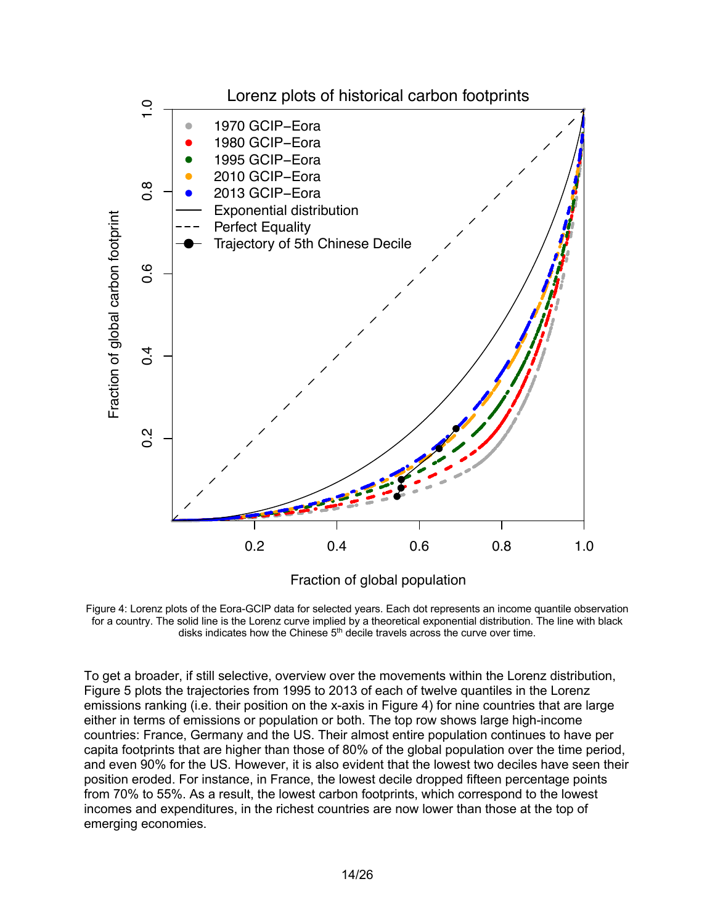

Fraction of global population

Figure 4: Lorenz plots of the Eora-GCIP data for selected years. Each dot represents an income quantile observation for a country. The solid line is the Lorenz curve implied by a theoretical exponential distribution. The line with black disks indicates how the Chinese  $5<sup>th</sup>$  decile travels across the curve over time.

To get a broader, if still selective, overview over the movements within the Lorenz distribution, Figure 5 plots the trajectories from 1995 to 2013 of each of twelve quantiles in the Lorenz emissions ranking (i.e. their position on the x-axis in Figure 4) for nine countries that are large either in terms of emissions or population or both. The top row shows large high-income countries: France, Germany and the US. Their almost entire population continues to have per capita footprints that are higher than those of 80% of the global population over the time period, and even 90% for the US. However, it is also evident that the lowest two deciles have seen their position eroded. For instance, in France, the lowest decile dropped fifteen percentage points from 70% to 55%. As a result, the lowest carbon footprints, which correspond to the lowest incomes and expenditures, in the richest countries are now lower than those at the top of emerging economies.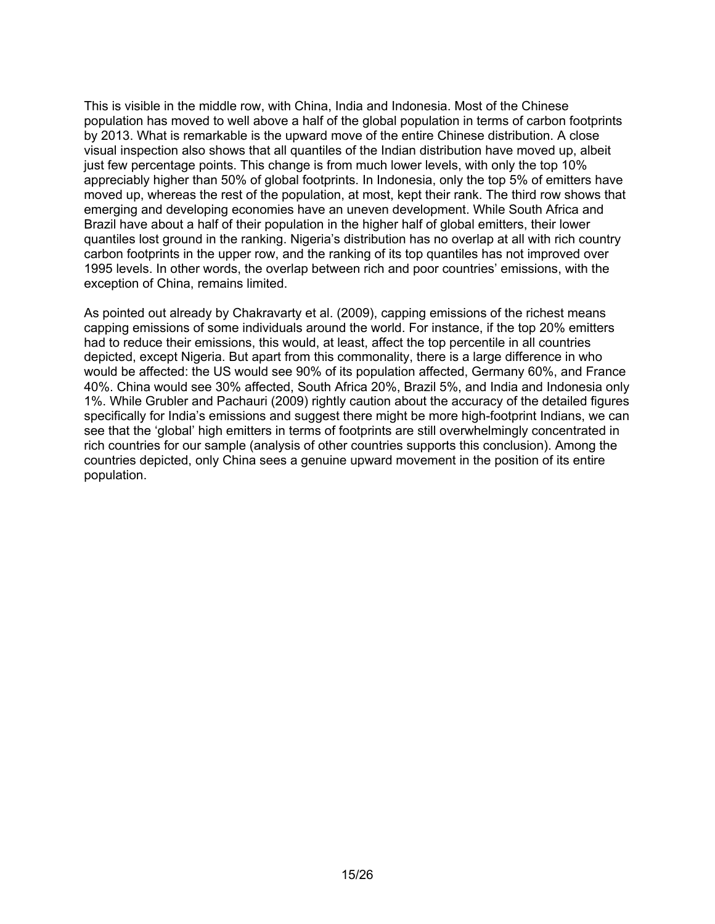This is visible in the middle row, with China, India and Indonesia. Most of the Chinese population has moved to well above a half of the global population in terms of carbon footprints by 2013. What is remarkable is the upward move of the entire Chinese distribution. A close visual inspection also shows that all quantiles of the Indian distribution have moved up, albeit just few percentage points. This change is from much lower levels, with only the top 10% appreciably higher than 50% of global footprints. In Indonesia, only the top 5% of emitters have moved up, whereas the rest of the population, at most, kept their rank. The third row shows that emerging and developing economies have an uneven development. While South Africa and Brazil have about a half of their population in the higher half of global emitters, their lower quantiles lost ground in the ranking. Nigeria's distribution has no overlap at all with rich country carbon footprints in the upper row, and the ranking of its top quantiles has not improved over 1995 levels. In other words, the overlap between rich and poor countries' emissions, with the exception of China, remains limited.

As pointed out already by Chakravarty et al. (2009), capping emissions of the richest means capping emissions of some individuals around the world. For instance, if the top 20% emitters had to reduce their emissions, this would, at least, affect the top percentile in all countries depicted, except Nigeria. But apart from this commonality, there is a large difference in who would be affected: the US would see 90% of its population affected, Germany 60%, and France 40%. China would see 30% affected, South Africa 20%, Brazil 5%, and India and Indonesia only 1%. While Grubler and Pachauri (2009) rightly caution about the accuracy of the detailed figures specifically for India's emissions and suggest there might be more high-footprint Indians, we can see that the 'global' high emitters in terms of footprints are still overwhelmingly concentrated in rich countries for our sample (analysis of other countries supports this conclusion). Among the countries depicted, only China sees a genuine upward movement in the position of its entire population.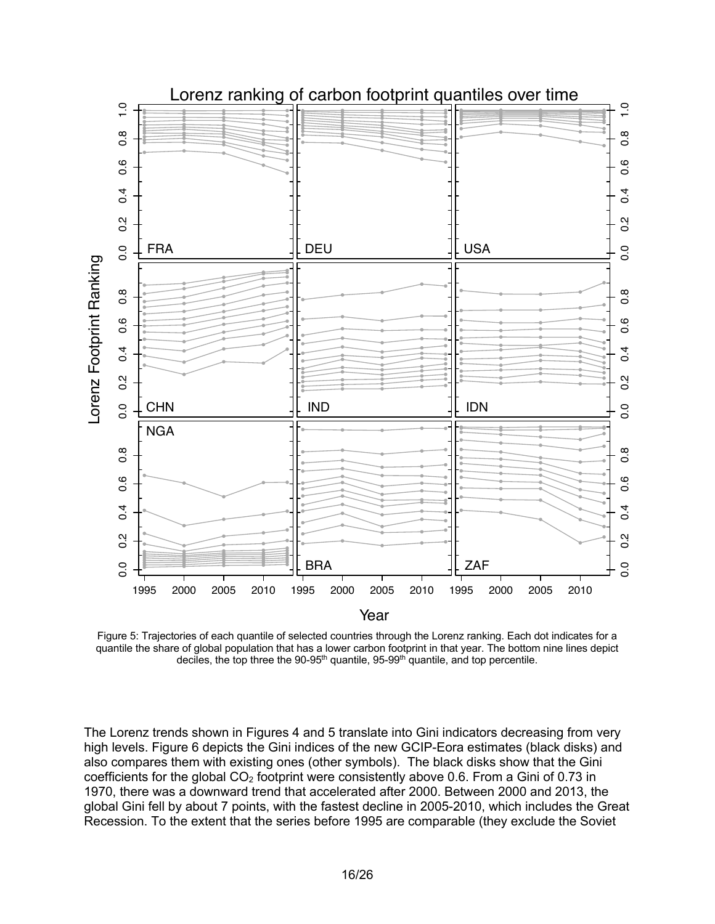

Figure 5: Trajectories of each quantile of selected countries through the Lorenz ranking. Each dot indicates for a quantile the share of global population that has a lower carbon footprint in that year. The bottom nine lines depict deciles, the top three the 90-95<sup>th</sup> quantile, 95-99<sup>th</sup> quantile, and top percentile.

The Lorenz trends shown in Figures 4 and 5 translate into Gini indicators decreasing from very high levels. Figure 6 depicts the Gini indices of the new GCIP-Eora estimates (black disks) and also compares them with existing ones (other symbols). The black disks show that the Gini coefficients for the global  $CO<sub>2</sub>$  footprint were consistently above 0.6. From a Gini of 0.73 in 1970, there was a downward trend that accelerated after 2000. Between 2000 and 2013, the global Gini fell by about 7 points, with the fastest decline in 2005-2010, which includes the Great Recession. To the extent that the series before 1995 are comparable (they exclude the Soviet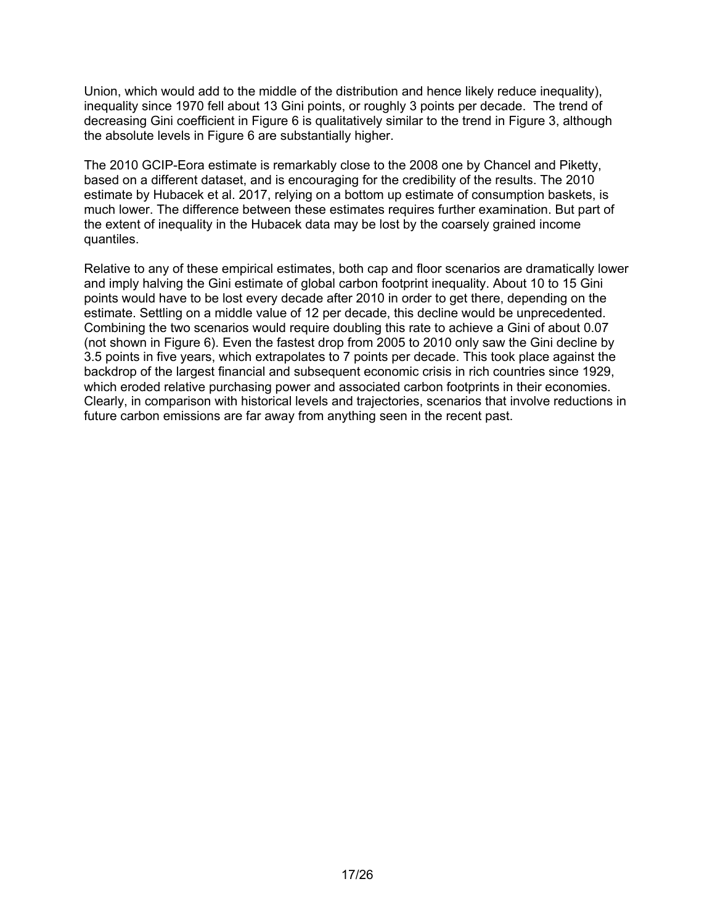Union, which would add to the middle of the distribution and hence likely reduce inequality), inequality since 1970 fell about 13 Gini points, or roughly 3 points per decade. The trend of decreasing Gini coefficient in Figure 6 is qualitatively similar to the trend in Figure 3, although the absolute levels in Figure 6 are substantially higher.

The 2010 GCIP-Eora estimate is remarkably close to the 2008 one by Chancel and Piketty, based on a different dataset, and is encouraging for the credibility of the results. The 2010 estimate by Hubacek et al. 2017, relying on a bottom up estimate of consumption baskets, is much lower. The difference between these estimates requires further examination. But part of the extent of inequality in the Hubacek data may be lost by the coarsely grained income quantiles.

Relative to any of these empirical estimates, both cap and floor scenarios are dramatically lower and imply halving the Gini estimate of global carbon footprint inequality. About 10 to 15 Gini points would have to be lost every decade after 2010 in order to get there, depending on the estimate. Settling on a middle value of 12 per decade, this decline would be unprecedented. Combining the two scenarios would require doubling this rate to achieve a Gini of about 0.07 (not shown in Figure 6). Even the fastest drop from 2005 to 2010 only saw the Gini decline by 3.5 points in five years, which extrapolates to 7 points per decade. This took place against the backdrop of the largest financial and subsequent economic crisis in rich countries since 1929, which eroded relative purchasing power and associated carbon footprints in their economies. Clearly, in comparison with historical levels and trajectories, scenarios that involve reductions in future carbon emissions are far away from anything seen in the recent past.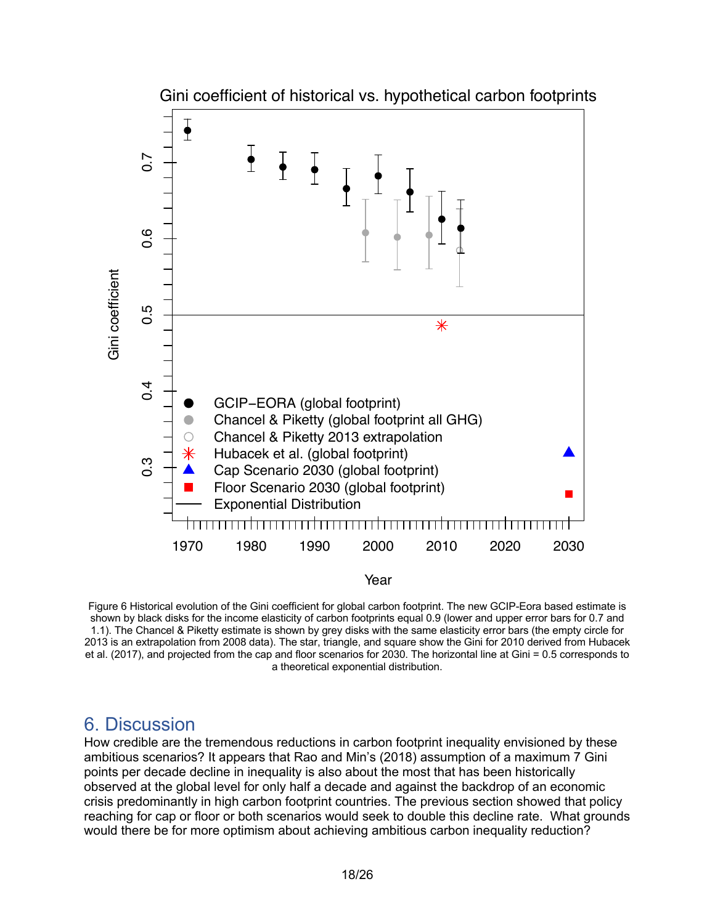

Figure 6 Historical evolution of the Gini coefficient for global carbon footprint. The new GCIP-Eora based estimate is shown by black disks for the income elasticity of carbon footprints equal 0.9 (lower and upper error bars for 0.7 and 1.1). The Chancel & Piketty estimate is shown by grey disks with the same elasticity error bars (the empty circle for 2013 is an extrapolation from 2008 data). The star, triangle, and square show the Gini for 2010 derived from Hubacek et al. (2017), and projected from the cap and floor scenarios for 2030. The horizontal line at Gini = 0.5 corresponds to a theoretical exponential distribution.

## 6. Discussion

How credible are the tremendous reductions in carbon footprint inequality envisioned by these ambitious scenarios? It appears that Rao and Min's (2018) assumption of a maximum 7 Gini points per decade decline in inequality is also about the most that has been historically observed at the global level for only half a decade and against the backdrop of an economic crisis predominantly in high carbon footprint countries. The previous section showed that policy reaching for cap or floor or both scenarios would seek to double this decline rate. What grounds would there be for more optimism about achieving ambitious carbon inequality reduction?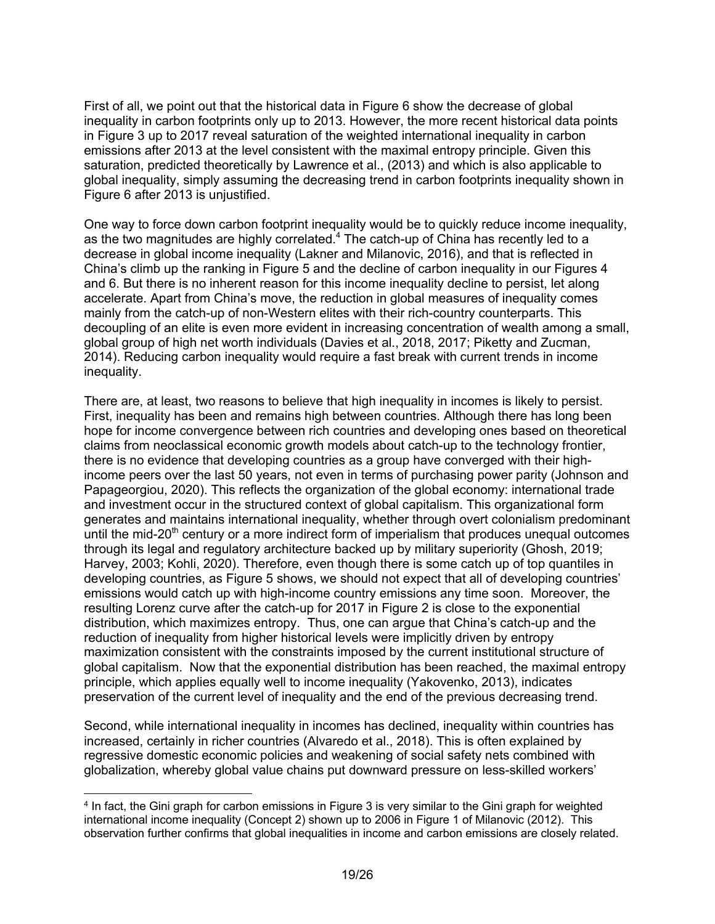First of all, we point out that the historical data in Figure 6 show the decrease of global inequality in carbon footprints only up to 2013. However, the more recent historical data points in Figure 3 up to 2017 reveal saturation of the weighted international inequality in carbon emissions after 2013 at the level consistent with the maximal entropy principle. Given this saturation, predicted theoretically by Lawrence et al., (2013) and which is also applicable to global inequality, simply assuming the decreasing trend in carbon footprints inequality shown in Figure 6 after 2013 is unjustified.

One way to force down carbon footprint inequality would be to quickly reduce income inequality, as the two magnitudes are highly correlated.<sup>4</sup> The catch-up of China has recently led to a decrease in global income inequality (Lakner and Milanovic, 2016), and that is reflected in China's climb up the ranking in Figure 5 and the decline of carbon inequality in our Figures 4 and 6. But there is no inherent reason for this income inequality decline to persist, let along accelerate. Apart from China's move, the reduction in global measures of inequality comes mainly from the catch-up of non-Western elites with their rich-country counterparts. This decoupling of an elite is even more evident in increasing concentration of wealth among a small, global group of high net worth individuals (Davies et al., 2018, 2017; Piketty and Zucman, 2014). Reducing carbon inequality would require a fast break with current trends in income inequality.

There are, at least, two reasons to believe that high inequality in incomes is likely to persist. First, inequality has been and remains high between countries. Although there has long been hope for income convergence between rich countries and developing ones based on theoretical claims from neoclassical economic growth models about catch-up to the technology frontier, there is no evidence that developing countries as a group have converged with their highincome peers over the last 50 years, not even in terms of purchasing power parity (Johnson and Papageorgiou, 2020). This reflects the organization of the global economy: international trade and investment occur in the structured context of global capitalism. This organizational form generates and maintains international inequality, whether through overt colonialism predominant until the mid-20<sup>th</sup> century or a more indirect form of imperialism that produces unequal outcomes through its legal and regulatory architecture backed up by military superiority (Ghosh, 2019; Harvey, 2003; Kohli, 2020). Therefore, even though there is some catch up of top quantiles in developing countries, as Figure 5 shows, we should not expect that all of developing countries' emissions would catch up with high-income country emissions any time soon. Moreover, the resulting Lorenz curve after the catch-up for 2017 in Figure 2 is close to the exponential distribution, which maximizes entropy. Thus, one can argue that China's catch-up and the reduction of inequality from higher historical levels were implicitly driven by entropy maximization consistent with the constraints imposed by the current institutional structure of global capitalism. Now that the exponential distribution has been reached, the maximal entropy principle, which applies equally well to income inequality (Yakovenko, 2013), indicates preservation of the current level of inequality and the end of the previous decreasing trend.

Second, while international inequality in incomes has declined, inequality within countries has increased, certainly in richer countries (Alvaredo et al., 2018). This is often explained by regressive domestic economic policies and weakening of social safety nets combined with globalization, whereby global value chains put downward pressure on less-skilled workers'

<sup>4</sup> In fact, the Gini graph for carbon emissions in Figure 3 is very similar to the Gini graph for weighted international income inequality (Concept 2) shown up to 2006 in Figure 1 of Milanovic (2012). This observation further confirms that global inequalities in income and carbon emissions are closely related.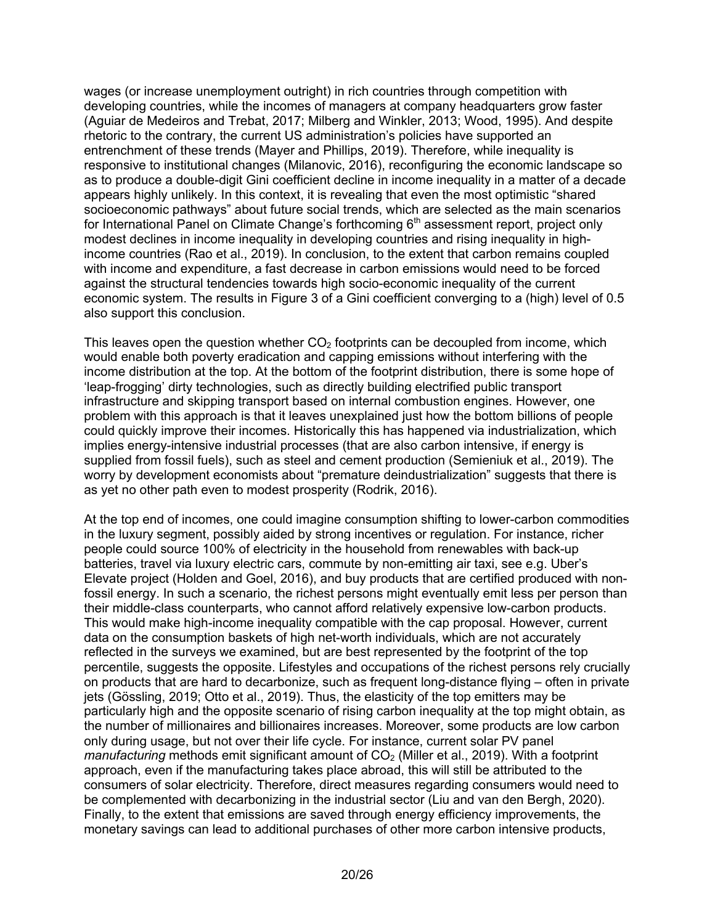wages (or increase unemployment outright) in rich countries through competition with developing countries, while the incomes of managers at company headquarters grow faster (Aguiar de Medeiros and Trebat, 2017; Milberg and Winkler, 2013; Wood, 1995). And despite rhetoric to the contrary, the current US administration's policies have supported an entrenchment of these trends (Mayer and Phillips, 2019). Therefore, while inequality is responsive to institutional changes (Milanovic, 2016), reconfiguring the economic landscape so as to produce a double-digit Gini coefficient decline in income inequality in a matter of a decade appears highly unlikely. In this context, it is revealing that even the most optimistic "shared socioeconomic pathways" about future social trends, which are selected as the main scenarios for International Panel on Climate Change's forthcoming  $6<sup>th</sup>$  assessment report, project only modest declines in income inequality in developing countries and rising inequality in highincome countries (Rao et al., 2019). In conclusion, to the extent that carbon remains coupled with income and expenditure, a fast decrease in carbon emissions would need to be forced against the structural tendencies towards high socio-economic inequality of the current economic system. The results in Figure 3 of a Gini coefficient converging to a (high) level of 0.5 also support this conclusion.

This leaves open the question whether  $CO<sub>2</sub>$  footprints can be decoupled from income, which would enable both poverty eradication and capping emissions without interfering with the income distribution at the top. At the bottom of the footprint distribution, there is some hope of 'leap-frogging' dirty technologies, such as directly building electrified public transport infrastructure and skipping transport based on internal combustion engines. However, one problem with this approach is that it leaves unexplained just how the bottom billions of people could quickly improve their incomes. Historically this has happened via industrialization, which implies energy-intensive industrial processes (that are also carbon intensive, if energy is supplied from fossil fuels), such as steel and cement production (Semieniuk et al., 2019). The worry by development economists about "premature deindustrialization" suggests that there is as yet no other path even to modest prosperity (Rodrik, 2016).

At the top end of incomes, one could imagine consumption shifting to lower-carbon commodities in the luxury segment, possibly aided by strong incentives or regulation. For instance, richer people could source 100% of electricity in the household from renewables with back-up batteries, travel via luxury electric cars, commute by non-emitting air taxi, see e.g. Uber's Elevate project (Holden and Goel, 2016), and buy products that are certified produced with nonfossil energy. In such a scenario, the richest persons might eventually emit less per person than their middle-class counterparts, who cannot afford relatively expensive low-carbon products. This would make high-income inequality compatible with the cap proposal. However, current data on the consumption baskets of high net-worth individuals, which are not accurately reflected in the surveys we examined, but are best represented by the footprint of the top percentile, suggests the opposite. Lifestyles and occupations of the richest persons rely crucially on products that are hard to decarbonize, such as frequent long-distance flying – often in private jets (Gössling, 2019; Otto et al., 2019). Thus, the elasticity of the top emitters may be particularly high and the opposite scenario of rising carbon inequality at the top might obtain, as the number of millionaires and billionaires increases. Moreover, some products are low carbon only during usage, but not over their life cycle. For instance, current solar PV panel *manufacturing* methods emit significant amount of CO<sub>2</sub> (Miller et al., 2019). With a footprint approach, even if the manufacturing takes place abroad, this will still be attributed to the consumers of solar electricity. Therefore, direct measures regarding consumers would need to be complemented with decarbonizing in the industrial sector (Liu and van den Bergh, 2020). Finally, to the extent that emissions are saved through energy efficiency improvements, the monetary savings can lead to additional purchases of other more carbon intensive products,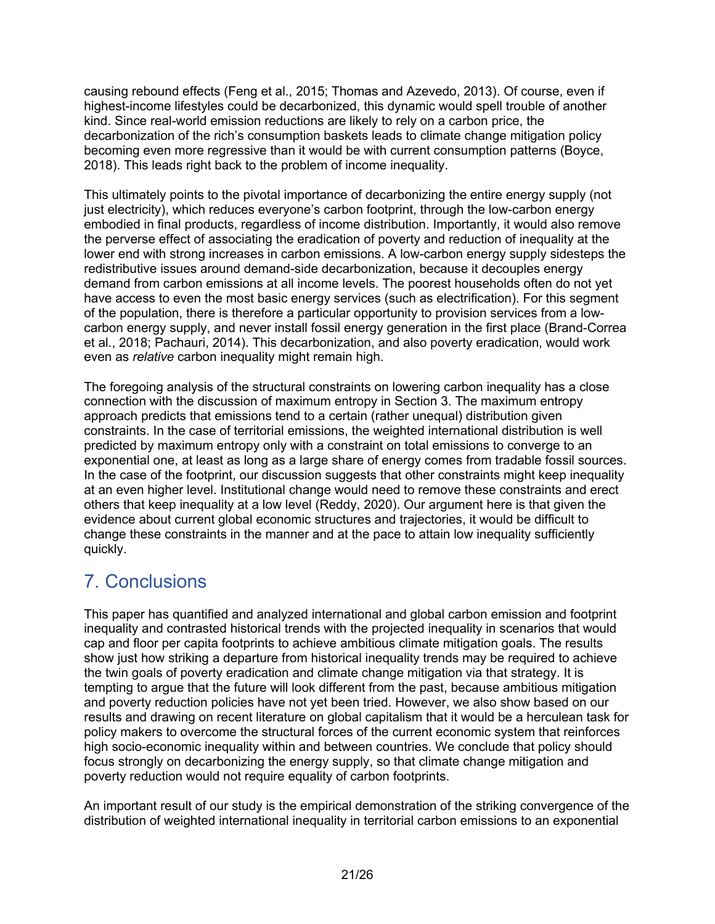causing rebound effects (Feng et al., 2015; Thomas and Azevedo, 2013). Of course, even if highest-income lifestyles could be decarbonized, this dynamic would spell trouble of another kind. Since real-world emission reductions are likely to rely on a carbon price, the decarbonization of the rich's consumption baskets leads to climate change mitigation policy becoming even more regressive than it would be with current consumption patterns (Boyce, 2018). This leads right back to the problem of income inequality.

This ultimately points to the pivotal importance of decarbonizing the entire energy supply (not just electricity), which reduces everyone's carbon footprint, through the low-carbon energy embodied in final products, regardless of income distribution. Importantly, it would also remove the perverse effect of associating the eradication of poverty and reduction of inequality at the lower end with strong increases in carbon emissions. A low-carbon energy supply sidesteps the redistributive issues around demand-side decarbonization, because it decouples energy demand from carbon emissions at all income levels. The poorest households often do not yet have access to even the most basic energy services (such as electrification). For this segment of the population, there is therefore a particular opportunity to provision services from a lowcarbon energy supply, and never install fossil energy generation in the first place (Brand-Correa et al., 2018; Pachauri, 2014). This decarbonization, and also poverty eradication, would work even as *relative* carbon inequality might remain high.

The foregoing analysis of the structural constraints on lowering carbon inequality has a close connection with the discussion of maximum entropy in Section 3. The maximum entropy approach predicts that emissions tend to a certain (rather unequal) distribution given constraints. In the case of territorial emissions, the weighted international distribution is well predicted by maximum entropy only with a constraint on total emissions to converge to an exponential one, at least as long as a large share of energy comes from tradable fossil sources. In the case of the footprint, our discussion suggests that other constraints might keep inequality at an even higher level. Institutional change would need to remove these constraints and erect others that keep inequality at a low level (Reddy, 2020). Our argument here is that given the evidence about current global economic structures and trajectories, it would be difficult to change these constraints in the manner and at the pace to attain low inequality sufficiently quickly.

# 7. Conclusions

This paper has quantified and analyzed international and global carbon emission and footprint inequality and contrasted historical trends with the projected inequality in scenarios that would cap and floor per capita footprints to achieve ambitious climate mitigation goals. The results show just how striking a departure from historical inequality trends may be required to achieve the twin goals of poverty eradication and climate change mitigation via that strategy. It is tempting to argue that the future will look different from the past, because ambitious mitigation and poverty reduction policies have not yet been tried. However, we also show based on our results and drawing on recent literature on global capitalism that it would be a herculean task for policy makers to overcome the structural forces of the current economic system that reinforces high socio-economic inequality within and between countries. We conclude that policy should focus strongly on decarbonizing the energy supply, so that climate change mitigation and poverty reduction would not require equality of carbon footprints.

An important result of our study is the empirical demonstration of the striking convergence of the distribution of weighted international inequality in territorial carbon emissions to an exponential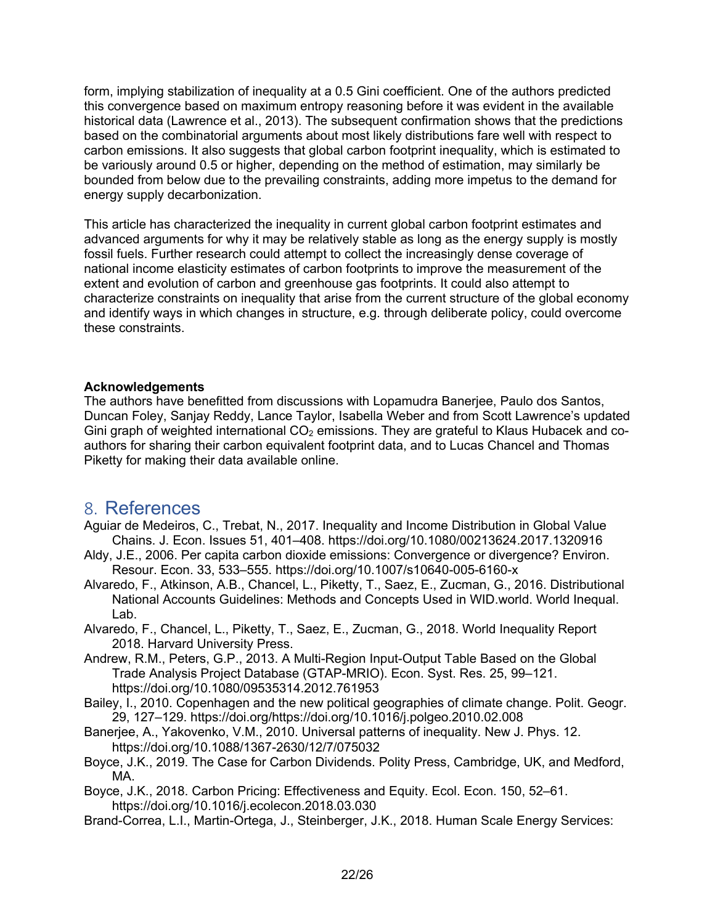form, implying stabilization of inequality at a 0.5 Gini coefficient. One of the authors predicted this convergence based on maximum entropy reasoning before it was evident in the available historical data (Lawrence et al., 2013). The subsequent confirmation shows that the predictions based on the combinatorial arguments about most likely distributions fare well with respect to carbon emissions. It also suggests that global carbon footprint inequality, which is estimated to be variously around 0.5 or higher, depending on the method of estimation, may similarly be bounded from below due to the prevailing constraints, adding more impetus to the demand for energy supply decarbonization.

This article has characterized the inequality in current global carbon footprint estimates and advanced arguments for why it may be relatively stable as long as the energy supply is mostly fossil fuels. Further research could attempt to collect the increasingly dense coverage of national income elasticity estimates of carbon footprints to improve the measurement of the extent and evolution of carbon and greenhouse gas footprints. It could also attempt to characterize constraints on inequality that arise from the current structure of the global economy and identify ways in which changes in structure, e.g. through deliberate policy, could overcome these constraints.

#### **Acknowledgements**

The authors have benefitted from discussions with Lopamudra Banerjee, Paulo dos Santos, Duncan Foley, Sanjay Reddy, Lance Taylor, Isabella Weber and from Scott Lawrence's updated Gini graph of weighted international  $CO<sub>2</sub>$  emissions. They are grateful to Klaus Hubacek and coauthors for sharing their carbon equivalent footprint data, and to Lucas Chancel and Thomas Piketty for making their data available online.

#### 8. References

- Aguiar de Medeiros, C., Trebat, N., 2017. Inequality and Income Distribution in Global Value Chains. J. Econ. Issues 51, 401–408. https://doi.org/10.1080/00213624.2017.1320916
- Aldy, J.E., 2006. Per capita carbon dioxide emissions: Convergence or divergence? Environ. Resour. Econ. 33, 533–555. https://doi.org/10.1007/s10640-005-6160-x
- Alvaredo, F., Atkinson, A.B., Chancel, L., Piketty, T., Saez, E., Zucman, G., 2016. Distributional National Accounts Guidelines: Methods and Concepts Used in WID.world. World Inequal. Lab.
- Alvaredo, F., Chancel, L., Piketty, T., Saez, E., Zucman, G., 2018. World Inequality Report 2018. Harvard University Press.
- Andrew, R.M., Peters, G.P., 2013. A Multi-Region Input-Output Table Based on the Global Trade Analysis Project Database (GTAP-MRIO). Econ. Syst. Res. 25, 99–121. https://doi.org/10.1080/09535314.2012.761953
- Bailey, I., 2010. Copenhagen and the new political geographies of climate change. Polit. Geogr. 29, 127–129. https://doi.org/https://doi.org/10.1016/j.polgeo.2010.02.008
- Banerjee, A., Yakovenko, V.M., 2010. Universal patterns of inequality. New J. Phys. 12. https://doi.org/10.1088/1367-2630/12/7/075032
- Boyce, J.K., 2019. The Case for Carbon Dividends. Polity Press, Cambridge, UK, and Medford, MA.
- Boyce, J.K., 2018. Carbon Pricing: Effectiveness and Equity. Ecol. Econ. 150, 52–61. https://doi.org/10.1016/j.ecolecon.2018.03.030
- Brand-Correa, L.I., Martin-Ortega, J., Steinberger, J.K., 2018. Human Scale Energy Services: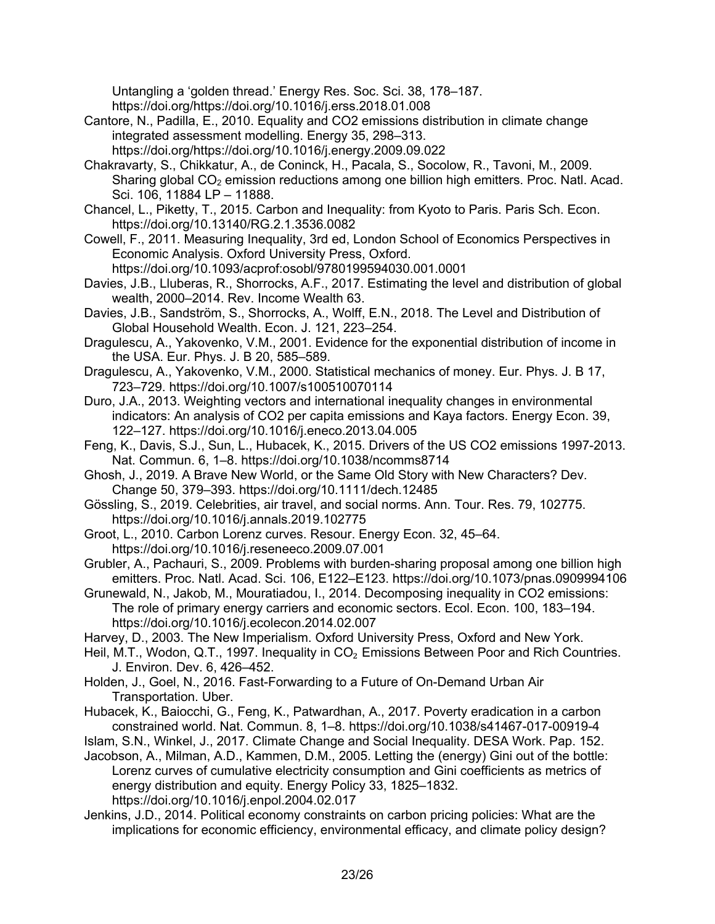Untangling a 'golden thread.' Energy Res. Soc. Sci. 38, 178–187.

https://doi.org/https://doi.org/10.1016/j.erss.2018.01.008

- Cantore, N., Padilla, E., 2010. Equality and CO2 emissions distribution in climate change integrated assessment modelling. Energy 35, 298–313. https://doi.org/https://doi.org/10.1016/j.energy.2009.09.022
- Chakravarty, S., Chikkatur, A., de Coninck, H., Pacala, S., Socolow, R., Tavoni, M., 2009. Sharing global CO<sub>2</sub> emission reductions among one billion high emitters. Proc. Natl. Acad. Sci. 106, 11884 LP – 11888.
- Chancel, L., Piketty, T., 2015. Carbon and Inequality: from Kyoto to Paris. Paris Sch. Econ. https://doi.org/10.13140/RG.2.1.3536.0082
- Cowell, F., 2011. Measuring Inequality, 3rd ed, London School of Economics Perspectives in Economic Analysis. Oxford University Press, Oxford.
	- https://doi.org/10.1093/acprof:osobl/9780199594030.001.0001
- Davies, J.B., Lluberas, R., Shorrocks, A.F., 2017. Estimating the level and distribution of global wealth, 2000–2014. Rev. Income Wealth 63.
- Davies, J.B., Sandström, S., Shorrocks, A., Wolff, E.N., 2018. The Level and Distribution of Global Household Wealth. Econ. J. 121, 223–254.
- Dragulescu, A., Yakovenko, V.M., 2001. Evidence for the exponential distribution of income in the USA. Eur. Phys. J. B 20, 585–589.
- Dragulescu, A., Yakovenko, V.M., 2000. Statistical mechanics of money. Eur. Phys. J. B 17, 723–729. https://doi.org/10.1007/s100510070114
- Duro, J.A., 2013. Weighting vectors and international inequality changes in environmental indicators: An analysis of CO2 per capita emissions and Kaya factors. Energy Econ. 39, 122–127. https://doi.org/10.1016/j.eneco.2013.04.005
- Feng, K., Davis, S.J., Sun, L., Hubacek, K., 2015. Drivers of the US CO2 emissions 1997-2013. Nat. Commun. 6, 1–8. https://doi.org/10.1038/ncomms8714
- Ghosh, J., 2019. A Brave New World, or the Same Old Story with New Characters? Dev. Change 50, 379–393. https://doi.org/10.1111/dech.12485
- Gössling, S., 2019. Celebrities, air travel, and social norms. Ann. Tour. Res. 79, 102775. https://doi.org/10.1016/j.annals.2019.102775
- Groot, L., 2010. Carbon Lorenz curves. Resour. Energy Econ. 32, 45–64. https://doi.org/10.1016/j.reseneeco.2009.07.001
- Grubler, A., Pachauri, S., 2009. Problems with burden-sharing proposal among one billion high emitters. Proc. Natl. Acad. Sci. 106, E122–E123. https://doi.org/10.1073/pnas.0909994106
- Grunewald, N., Jakob, M., Mouratiadou, I., 2014. Decomposing inequality in CO2 emissions: The role of primary energy carriers and economic sectors. Ecol. Econ. 100, 183–194. https://doi.org/10.1016/j.ecolecon.2014.02.007
- Harvey, D., 2003. The New Imperialism. Oxford University Press, Oxford and New York.

Heil, M.T., Wodon, Q.T., 1997. Inequality in  $CO<sub>2</sub>$  Emissions Between Poor and Rich Countries. J. Environ. Dev. 6, 426–452.

- Holden, J., Goel, N., 2016. Fast-Forwarding to a Future of On-Demand Urban Air Transportation. Uber.
- Hubacek, K., Baiocchi, G., Feng, K., Patwardhan, A., 2017. Poverty eradication in a carbon constrained world. Nat. Commun. 8, 1–8. https://doi.org/10.1038/s41467-017-00919-4
- Islam, S.N., Winkel, J., 2017. Climate Change and Social Inequality. DESA Work. Pap. 152.
- Jacobson, A., Milman, A.D., Kammen, D.M., 2005. Letting the (energy) Gini out of the bottle: Lorenz curves of cumulative electricity consumption and Gini coefficients as metrics of energy distribution and equity. Energy Policy 33, 1825–1832. https://doi.org/10.1016/j.enpol.2004.02.017
- Jenkins, J.D., 2014. Political economy constraints on carbon pricing policies: What are the implications for economic efficiency, environmental efficacy, and climate policy design?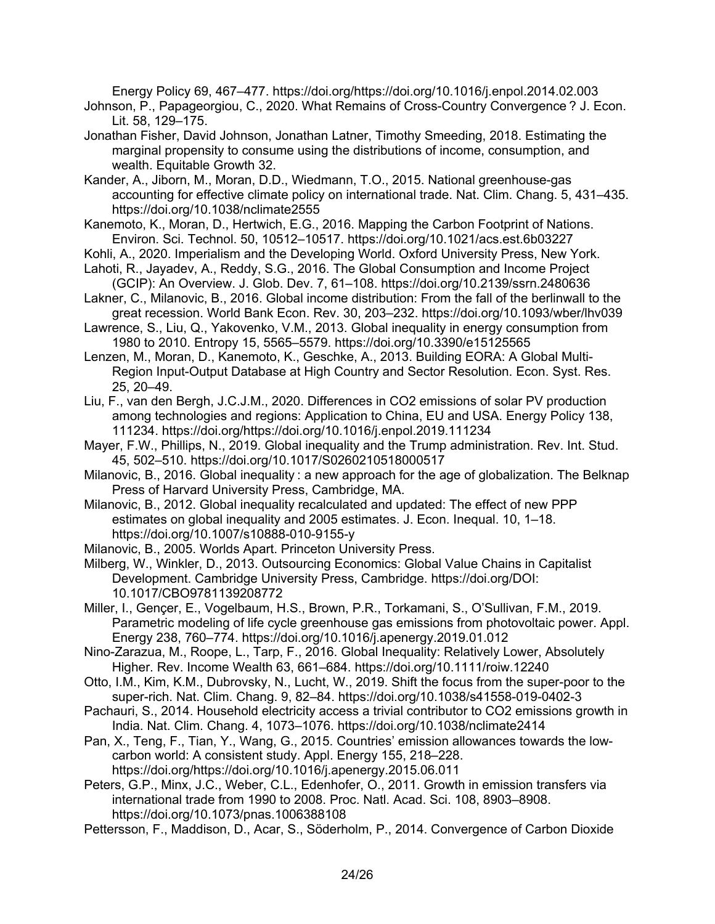Energy Policy 69, 467–477. https://doi.org/https://doi.org/10.1016/j.enpol.2014.02.003

- Johnson, P., Papageorgiou, C., 2020. What Remains of Cross-Country Convergence ? J. Econ. Lit. 58, 129–175.
- Jonathan Fisher, David Johnson, Jonathan Latner, Timothy Smeeding, 2018. Estimating the marginal propensity to consume using the distributions of income, consumption, and wealth. Equitable Growth 32.
- Kander, A., Jiborn, M., Moran, D.D., Wiedmann, T.O., 2015. National greenhouse-gas accounting for effective climate policy on international trade. Nat. Clim. Chang. 5, 431–435. https://doi.org/10.1038/nclimate2555
- Kanemoto, K., Moran, D., Hertwich, E.G., 2016. Mapping the Carbon Footprint of Nations. Environ. Sci. Technol. 50, 10512–10517. https://doi.org/10.1021/acs.est.6b03227
- Kohli, A., 2020. Imperialism and the Developing World. Oxford University Press, New York.
- Lahoti, R., Jayadev, A., Reddy, S.G., 2016. The Global Consumption and Income Project (GCIP): An Overview. J. Glob. Dev. 7, 61–108. https://doi.org/10.2139/ssrn.2480636
- Lakner, C., Milanovic, B., 2016. Global income distribution: From the fall of the berlinwall to the great recession. World Bank Econ. Rev. 30, 203–232. https://doi.org/10.1093/wber/lhv039
- Lawrence, S., Liu, Q., Yakovenko, V.M., 2013. Global inequality in energy consumption from 1980 to 2010. Entropy 15, 5565–5579. https://doi.org/10.3390/e15125565
- Lenzen, M., Moran, D., Kanemoto, K., Geschke, A., 2013. Building EORA: A Global Multi-Region Input-Output Database at High Country and Sector Resolution. Econ. Syst. Res. 25, 20–49.
- Liu, F., van den Bergh, J.C.J.M., 2020. Differences in CO2 emissions of solar PV production among technologies and regions: Application to China, EU and USA. Energy Policy 138, 111234. https://doi.org/https://doi.org/10.1016/j.enpol.2019.111234
- Mayer, F.W., Phillips, N., 2019. Global inequality and the Trump administration. Rev. Int. Stud. 45, 502–510. https://doi.org/10.1017/S0260210518000517
- Milanovic, B., 2016. Global inequality : a new approach for the age of globalization. The Belknap Press of Harvard University Press, Cambridge, MA.
- Milanovic, B., 2012. Global inequality recalculated and updated: The effect of new PPP estimates on global inequality and 2005 estimates. J. Econ. Inequal. 10, 1–18. https://doi.org/10.1007/s10888-010-9155-y
- Milanovic, B., 2005. Worlds Apart. Princeton University Press.
- Milberg, W., Winkler, D., 2013. Outsourcing Economics: Global Value Chains in Capitalist Development. Cambridge University Press, Cambridge. https://doi.org/DOI: 10.1017/CBO9781139208772
- Miller, I., Gençer, E., Vogelbaum, H.S., Brown, P.R., Torkamani, S., O'Sullivan, F.M., 2019. Parametric modeling of life cycle greenhouse gas emissions from photovoltaic power. Appl. Energy 238, 760–774. https://doi.org/10.1016/j.apenergy.2019.01.012
- Nino-Zarazua, M., Roope, L., Tarp, F., 2016. Global Inequality: Relatively Lower, Absolutely Higher. Rev. Income Wealth 63, 661–684. https://doi.org/10.1111/roiw.12240
- Otto, I.M., Kim, K.M., Dubrovsky, N., Lucht, W., 2019. Shift the focus from the super-poor to the super-rich. Nat. Clim. Chang. 9, 82–84. https://doi.org/10.1038/s41558-019-0402-3
- Pachauri, S., 2014. Household electricity access a trivial contributor to CO2 emissions growth in India. Nat. Clim. Chang. 4, 1073–1076. https://doi.org/10.1038/nclimate2414
- Pan, X., Teng, F., Tian, Y., Wang, G., 2015. Countries' emission allowances towards the lowcarbon world: A consistent study. Appl. Energy 155, 218–228. https://doi.org/https://doi.org/10.1016/j.apenergy.2015.06.011
- Peters, G.P., Minx, J.C., Weber, C.L., Edenhofer, O., 2011. Growth in emission transfers via international trade from 1990 to 2008. Proc. Natl. Acad. Sci. 108, 8903–8908. https://doi.org/10.1073/pnas.1006388108
- Pettersson, F., Maddison, D., Acar, S., Söderholm, P., 2014. Convergence of Carbon Dioxide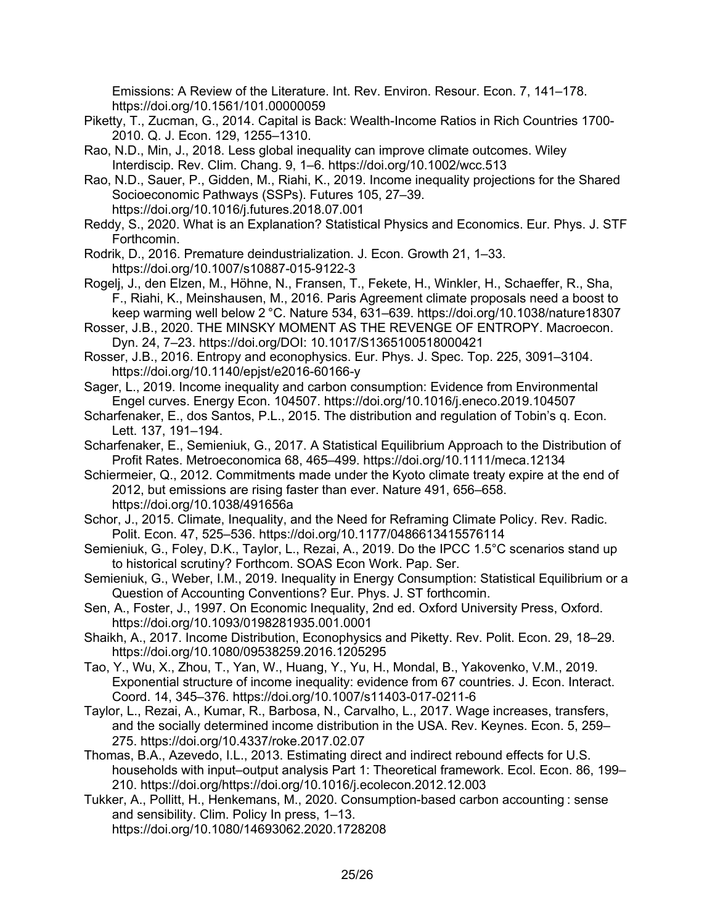Emissions: A Review of the Literature. Int. Rev. Environ. Resour. Econ. 7, 141–178. https://doi.org/10.1561/101.00000059

- Piketty, T., Zucman, G., 2014. Capital is Back: Wealth-Income Ratios in Rich Countries 1700- 2010. Q. J. Econ. 129, 1255–1310.
- Rao, N.D., Min, J., 2018. Less global inequality can improve climate outcomes. Wiley Interdiscip. Rev. Clim. Chang. 9, 1–6. https://doi.org/10.1002/wcc.513
- Rao, N.D., Sauer, P., Gidden, M., Riahi, K., 2019. Income inequality projections for the Shared Socioeconomic Pathways (SSPs). Futures 105, 27–39. https://doi.org/10.1016/j.futures.2018.07.001
- Reddy, S., 2020. What is an Explanation? Statistical Physics and Economics. Eur. Phys. J. STF Forthcomin.
- Rodrik, D., 2016. Premature deindustrialization. J. Econ. Growth 21, 1–33. https://doi.org/10.1007/s10887-015-9122-3
- Rogelj, J., den Elzen, M., Höhne, N., Fransen, T., Fekete, H., Winkler, H., Schaeffer, R., Sha, F., Riahi, K., Meinshausen, M., 2016. Paris Agreement climate proposals need a boost to keep warming well below 2 °C. Nature 534, 631–639. https://doi.org/10.1038/nature18307
- Rosser, J.B., 2020. THE MINSKY MOMENT AS THE REVENGE OF ENTROPY. Macroecon. Dyn. 24, 7–23. https://doi.org/DOI: 10.1017/S1365100518000421
- Rosser, J.B., 2016. Entropy and econophysics. Eur. Phys. J. Spec. Top. 225, 3091–3104. https://doi.org/10.1140/epjst/e2016-60166-y
- Sager, L., 2019. Income inequality and carbon consumption: Evidence from Environmental Engel curves. Energy Econ. 104507. https://doi.org/10.1016/j.eneco.2019.104507
- Scharfenaker, E., dos Santos, P.L., 2015. The distribution and regulation of Tobin's q. Econ. Lett. 137, 191–194.
- Scharfenaker, E., Semieniuk, G., 2017. A Statistical Equilibrium Approach to the Distribution of Profit Rates. Metroeconomica 68, 465–499. https://doi.org/10.1111/meca.12134
- Schiermeier, Q., 2012. Commitments made under the Kyoto climate treaty expire at the end of 2012, but emissions are rising faster than ever. Nature 491, 656–658. https://doi.org/10.1038/491656a
- Schor, J., 2015. Climate, Inequality, and the Need for Reframing Climate Policy. Rev. Radic. Polit. Econ. 47, 525–536. https://doi.org/10.1177/0486613415576114
- Semieniuk, G., Foley, D.K., Taylor, L., Rezai, A., 2019. Do the IPCC 1.5°C scenarios stand up to historical scrutiny? Forthcom. SOAS Econ Work. Pap. Ser.
- Semieniuk, G., Weber, I.M., 2019. Inequality in Energy Consumption: Statistical Equilibrium or a Question of Accounting Conventions? Eur. Phys. J. ST forthcomin.
- Sen, A., Foster, J., 1997. On Economic Inequality, 2nd ed. Oxford University Press, Oxford. https://doi.org/10.1093/0198281935.001.0001
- Shaikh, A., 2017. Income Distribution, Econophysics and Piketty. Rev. Polit. Econ. 29, 18–29. https://doi.org/10.1080/09538259.2016.1205295
- Tao, Y., Wu, X., Zhou, T., Yan, W., Huang, Y., Yu, H., Mondal, B., Yakovenko, V.M., 2019. Exponential structure of income inequality: evidence from 67 countries. J. Econ. Interact. Coord. 14, 345–376. https://doi.org/10.1007/s11403-017-0211-6
- Taylor, L., Rezai, A., Kumar, R., Barbosa, N., Carvalho, L., 2017. Wage increases, transfers, and the socially determined income distribution in the USA. Rev. Keynes. Econ. 5, 259– 275. https://doi.org/10.4337/roke.2017.02.07
- Thomas, B.A., Azevedo, I.L., 2013. Estimating direct and indirect rebound effects for U.S. households with input–output analysis Part 1: Theoretical framework. Ecol. Econ. 86, 199– 210. https://doi.org/https://doi.org/10.1016/j.ecolecon.2012.12.003
- Tukker, A., Pollitt, H., Henkemans, M., 2020. Consumption-based carbon accounting : sense and sensibility. Clim. Policy In press, 1–13. https://doi.org/10.1080/14693062.2020.1728208